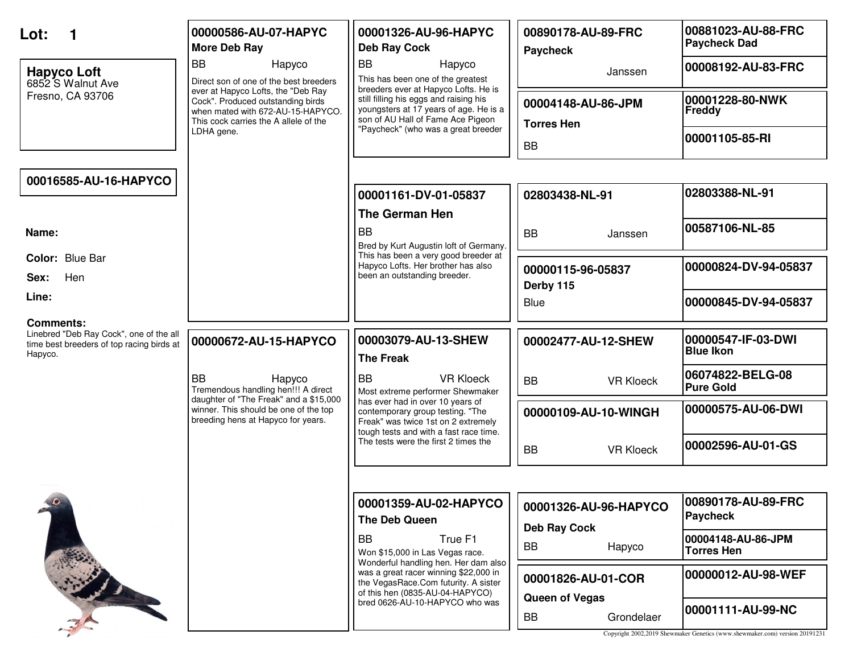| Lot:<br><b>Hapyco Loft</b>                                                                                          | 00000586-AU-07-HAPYC<br><b>More Deb Ray</b><br><b>BB</b><br>Hapyco                                                                                                                                            | 00001326-AU-96-HAPYC<br><b>Deb Ray Cock</b><br><b>BB</b><br>Hapyco<br>This has been one of the greatest                                                                                              | 00890178-AU-89-FRC<br><b>Paycheck</b><br>Janssen     | 00881023-AU-88-FRC<br><b>Paycheck Dad</b><br>00008192-AU-83-FRC                                  |
|---------------------------------------------------------------------------------------------------------------------|---------------------------------------------------------------------------------------------------------------------------------------------------------------------------------------------------------------|------------------------------------------------------------------------------------------------------------------------------------------------------------------------------------------------------|------------------------------------------------------|--------------------------------------------------------------------------------------------------|
| 6852 S Walnut Ave<br>Fresno, CA 93706                                                                               | Direct son of one of the best breeders<br>ever at Hapyco Lofts, the "Deb Ray<br>Cock". Produced outstanding birds<br>when mated with 672-AU-15-HAPYCO.<br>This cock carries the A allele of the<br>LDHA gene. | breeders ever at Hapyco Lofts. He is<br>still filling his eggs and raising his<br>youngsters at 17 years of age. He is a<br>son of AU Hall of Fame Ace Pigeon<br>"Paycheck" (who was a great breeder | 00004148-AU-86-JPM<br><b>Torres Hen</b><br><b>BB</b> | 00001228-80-NWK<br>Freddy<br>00001105-85-RI                                                      |
| 00016585-AU-16-HAPYCO                                                                                               |                                                                                                                                                                                                               | 00001161-DV-01-05837<br><b>The German Hen</b>                                                                                                                                                        | 02803438-NL-91                                       | 02803388-NL-91                                                                                   |
| Name:                                                                                                               |                                                                                                                                                                                                               | <b>BB</b><br>Bred by Kurt Augustin loft of Germany.                                                                                                                                                  | <b>BB</b><br>Janssen                                 | 00587106-NL-85                                                                                   |
| Color: Blue Bar<br>Hen<br>Sex:                                                                                      |                                                                                                                                                                                                               | This has been a very good breeder at<br>Hapyco Lofts. Her brother has also<br>been an outstanding breeder.                                                                                           | 00000115-96-05837<br>Derby 115                       | 00000824-DV-94-05837                                                                             |
| Line:                                                                                                               |                                                                                                                                                                                                               |                                                                                                                                                                                                      | Blue                                                 | 00000845-DV-94-05837                                                                             |
| <b>Comments:</b><br>Linebred "Deb Ray Cock", one of the all<br>time best breeders of top racing birds at<br>Hapyco. | 00000672-AU-15-HAPYCO                                                                                                                                                                                         | 00003079-AU-13-SHEW<br><b>The Freak</b>                                                                                                                                                              | 00002477-AU-12-SHEW                                  | 00000547-IF-03-DWI<br><b>Blue Ikon</b>                                                           |
|                                                                                                                     | <b>BB</b><br>Hapyco<br>Tremendous handling hen!!! A direct                                                                                                                                                    | <b>BB</b><br><b>VR Kloeck</b><br>Most extreme performer Shewmaker                                                                                                                                    | <b>BB</b><br><b>VR Kloeck</b>                        | 06074822-BELG-08<br><b>Pure Gold</b>                                                             |
|                                                                                                                     | daughter of "The Freak" and a \$15,000<br>winner. This should be one of the top<br>breeding hens at Hapyco for years.                                                                                         | has ever had in over 10 years of<br>contemporary group testing. "The<br>Freak" was twice 1st on 2 extremely<br>tough tests and with a fast race time.                                                | 00000109-AU-10-WINGH                                 | 00000575-AU-06-DWI                                                                               |
|                                                                                                                     |                                                                                                                                                                                                               | The tests were the first 2 times the                                                                                                                                                                 | <b>BB</b><br><b>VR Kloeck</b>                        | 00002596-AU-01-GS                                                                                |
|                                                                                                                     |                                                                                                                                                                                                               |                                                                                                                                                                                                      |                                                      |                                                                                                  |
| $\sqrt{e}$                                                                                                          |                                                                                                                                                                                                               | 00001359-AU-02-HAPYCO<br>The Deb Queen                                                                                                                                                               | 00001326-AU-96-HAPYCO<br><b>Deb Ray Cock</b>         | 00890178-AU-89-FRC<br>Paycheck                                                                   |
|                                                                                                                     |                                                                                                                                                                                                               | <b>BB</b><br>True F1<br>Won \$15,000 in Las Vegas race.                                                                                                                                              | BB<br>Hapyco                                         | 00004148-AU-86-JPM<br><b>Torres Hen</b>                                                          |
|                                                                                                                     |                                                                                                                                                                                                               | Wonderful handling hen. Her dam also<br>was a great racer winning \$22,000 in<br>the VegasRace.Com futurity. A sister<br>of this hen (0835-AU-04-HAPYCO)                                             | 00001826-AU-01-COR                                   | 00000012-AU-98-WEF                                                                               |
|                                                                                                                     |                                                                                                                                                                                                               | bred 0626-AU-10-HAPYCO who was                                                                                                                                                                       | <b>Queen of Vegas</b><br>BB<br>Grondelaer            | 00001111-AU-99-NC<br>Copyright 2002,2019 Shewmaker Genetics (www.shewmaker.com) version 20191231 |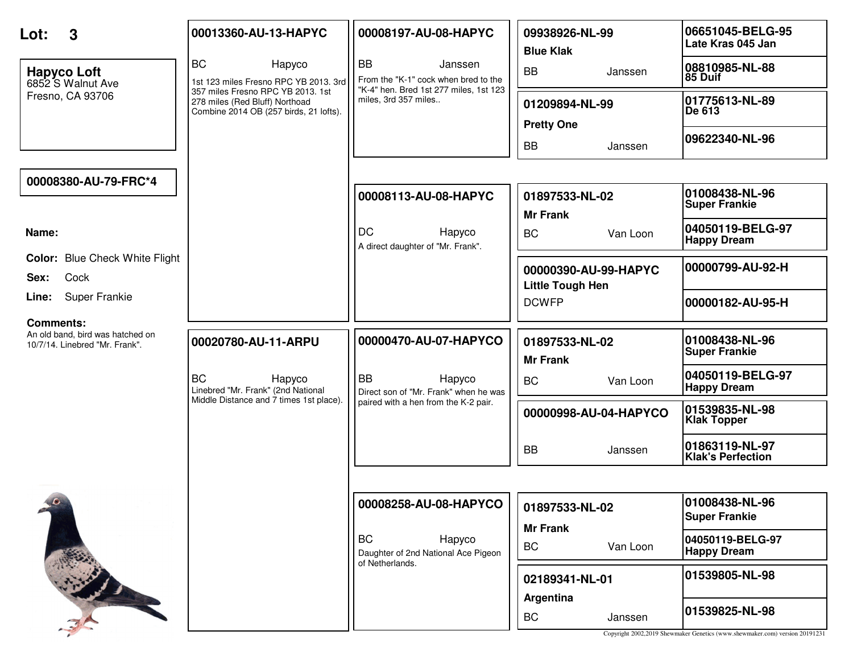| 3<br>Lot:                                                          | 00013360-AU-13-HAPYC                                                                                          | 00008197-AU-08-HAPYC                                                                                   | 09938926-NL-99<br><b>Blue Klak</b>              | 06651045-BELG-95<br>Late Kras 045 Jan                                                         |
|--------------------------------------------------------------------|---------------------------------------------------------------------------------------------------------------|--------------------------------------------------------------------------------------------------------|-------------------------------------------------|-----------------------------------------------------------------------------------------------|
| <b>Hapyco Loft</b><br>6852 S Walnut Ave                            | <b>BC</b><br>Hapyco<br>1st 123 miles Fresno RPC YB 2013. 3rd                                                  | <b>BB</b><br>Janssen<br>From the "K-1" cock when bred to the<br>"K-4" hen. Bred 1st 277 miles, 1st 123 | <b>BB</b><br>Janssen                            | 08810985-NL-88<br>85 Duif                                                                     |
| Fresno, CA 93706                                                   | 357 miles Fresno RPC YB 2013. 1st<br>278 miles (Red Bluff) Northoad<br>Combine 2014 OB (257 birds, 21 lofts). | miles, 3rd 357 miles                                                                                   | 01209894-NL-99<br><b>Pretty One</b>             | 01775613-NL-89<br>De 613                                                                      |
|                                                                    |                                                                                                               |                                                                                                        | <b>BB</b><br>Janssen                            | 09622340-NL-96                                                                                |
| 00008380-AU-79-FRC*4                                               |                                                                                                               |                                                                                                        |                                                 |                                                                                               |
|                                                                    |                                                                                                               | 00008113-AU-08-HAPYC                                                                                   | 01897533-NL-02<br><b>Mr Frank</b>               | 01008438-NL-96<br><b>Super Frankie</b>                                                        |
| Name:                                                              |                                                                                                               | <b>DC</b><br>Hapyco<br>A direct daughter of "Mr. Frank".                                               | <b>BC</b><br>Van Loon                           | 04050119-BELG-97<br><b>Happy Dream</b>                                                        |
| <b>Color:</b> Blue Check White Flight<br>Cock<br>Sex:              |                                                                                                               |                                                                                                        | 00000390-AU-99-HAPYC<br><b>Little Tough Hen</b> | 00000799-AU-92-H                                                                              |
| <b>Super Frankie</b><br>Line:                                      |                                                                                                               |                                                                                                        | <b>DCWFP</b>                                    | 00000182-AU-95-H                                                                              |
| <b>Comments:</b>                                                   |                                                                                                               |                                                                                                        |                                                 |                                                                                               |
| An old band, bird was hatched on<br>10/7/14. Linebred "Mr. Frank". | 00020780-AU-11-ARPU                                                                                           | 00000470-AU-07-HAPYCO                                                                                  | 01897533-NL-02<br><b>Mr Frank</b>               | 01008438-NL-96<br><b>Super Frankie</b>                                                        |
|                                                                    | <b>BC</b><br>Hapyco<br>Linebred "Mr. Frank" (2nd National                                                     | <b>BB</b><br>Hapyco<br>Direct son of "Mr. Frank" when he was                                           | <b>BC</b><br>Van Loon                           | 04050119-BELG-97<br><b>Happy Dream</b>                                                        |
|                                                                    | Middle Distance and 7 times 1st place).                                                                       | paired with a hen from the K-2 pair.                                                                   | 00000998-AU-04-HAPYCO                           | 01539835-NL-98<br><b>Klak Topper</b>                                                          |
|                                                                    |                                                                                                               |                                                                                                        | <b>BB</b><br>Janssen                            | 01863119-NL-97<br><b>Klak's Perfection</b>                                                    |
|                                                                    |                                                                                                               |                                                                                                        |                                                 |                                                                                               |
| $10 -$                                                             |                                                                                                               | 00008258-AU-08-HAPYCO                                                                                  | 01897533-NL-02                                  | 01008438-NL-96<br><b>Super Frankie</b>                                                        |
|                                                                    |                                                                                                               | <b>BC</b><br>Hapyco<br>Daughter of 2nd National Ace Pigeon                                             | <b>Mr Frank</b><br>BC<br>Van Loon               | 04050119-BELG-97<br><b>Happy Dream</b>                                                        |
|                                                                    |                                                                                                               | of Netherlands.                                                                                        | 02189341-NL-01<br>Argentina                     | 01539805-NL-98                                                                                |
|                                                                    |                                                                                                               |                                                                                                        | <b>BC</b><br>Janssen                            | 01539825-NL-98<br>Copyright 2002,2019 Shewmaker Genetics (www.shewmaker.com) version 20191231 |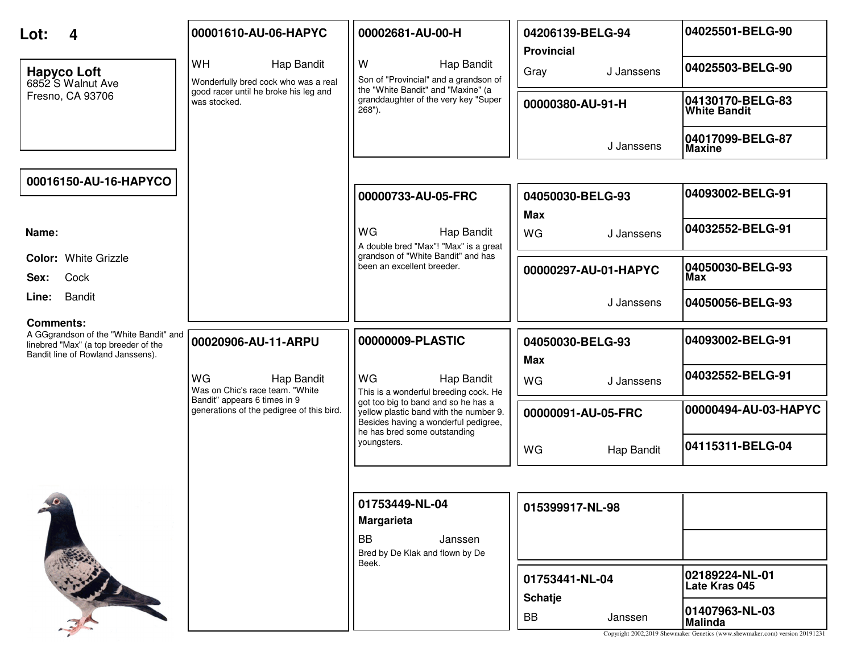| Lot:<br>Δ                                                                                                                               | 00001610-AU-06-HAPYC                                                      | 00002681-AU-00-H                                                                                                                                      | 04206139-BELG-94<br><b>Provincial</b> | 04025501-BELG-90                                                                                                |
|-----------------------------------------------------------------------------------------------------------------------------------------|---------------------------------------------------------------------------|-------------------------------------------------------------------------------------------------------------------------------------------------------|---------------------------------------|-----------------------------------------------------------------------------------------------------------------|
| <b>Hapyco Loft</b><br>6852 S Walnut Ave                                                                                                 | <b>WH</b><br>Hap Bandit<br>Wonderfully bred cock who was a real           | W<br>Hap Bandit<br>Son of "Provincial" and a grandson of                                                                                              | Gray<br>J Janssens                    | 04025503-BELG-90                                                                                                |
| Fresno, CA 93706                                                                                                                        | good racer until he broke his leg and<br>was stocked.                     | the "White Bandit" and "Maxine" (a<br>granddaughter of the very key "Super<br>$268"$ ).                                                               | 00000380-AU-91-H                      | 04130170-BELG-83<br><b>White Bandit</b>                                                                         |
|                                                                                                                                         |                                                                           |                                                                                                                                                       | J Janssens                            | 04017099-BELG-87<br><b>Maxine</b>                                                                               |
| 00016150-AU-16-HAPYCO                                                                                                                   |                                                                           |                                                                                                                                                       |                                       |                                                                                                                 |
|                                                                                                                                         |                                                                           | 00000733-AU-05-FRC                                                                                                                                    | 04050030-BELG-93                      | 04093002-BELG-91                                                                                                |
| Name:                                                                                                                                   |                                                                           | <b>WG</b><br>Hap Bandit<br>A double bred "Max"! "Max" is a great                                                                                      | <b>Max</b><br>WG<br>J Janssens        | 04032552-BELG-91                                                                                                |
| <b>Color: White Grizzle</b><br>Cock<br>Sex:                                                                                             |                                                                           | grandson of "White Bandit" and has<br>been an excellent breeder.                                                                                      | 00000297-AU-01-HAPYC                  | 04050030-BELG-93<br>Max                                                                                         |
| Bandit<br>Line:                                                                                                                         |                                                                           |                                                                                                                                                       | J Janssens                            | 04050056-BELG-93                                                                                                |
| <b>Comments:</b><br>A GGgrandson of the "White Bandit" and<br>linebred "Max" (a top breeder of the<br>Bandit line of Rowland Janssens). | 00020906-AU-11-ARPU                                                       | 00000009-PLASTIC                                                                                                                                      | 04050030-BELG-93                      | 04093002-BELG-91                                                                                                |
|                                                                                                                                         | WG<br>Hap Bandit<br>Was on Chic's race team. "White                       | WG<br>Hap Bandit<br>This is a wonderful breeding cock. He                                                                                             | <b>Max</b><br><b>WG</b><br>J Janssens | 04032552-BELG-91                                                                                                |
|                                                                                                                                         | Bandit" appears 6 times in 9<br>generations of the pedigree of this bird. | got too big to band and so he has a<br>yellow plastic band with the number 9.<br>Besides having a wonderful pedigree,<br>he has bred some outstanding | 00000091-AU-05-FRC                    | 00000494-AU-03-HAPYC                                                                                            |
|                                                                                                                                         |                                                                           | youngsters.                                                                                                                                           | WG<br>Hap Bandit                      | 04115311-BELG-04                                                                                                |
|                                                                                                                                         |                                                                           |                                                                                                                                                       |                                       |                                                                                                                 |
|                                                                                                                                         |                                                                           | 01753449-NL-04<br><b>Margarieta</b>                                                                                                                   | 015399917-NL-98                       |                                                                                                                 |
|                                                                                                                                         |                                                                           | <b>BB</b><br>Janssen<br>Bred by De Klak and flown by De<br>Beek.                                                                                      |                                       |                                                                                                                 |
|                                                                                                                                         |                                                                           |                                                                                                                                                       | 01753441-NL-04<br><b>Schatje</b>      | 02189224-NL-01<br>Late Kras 045                                                                                 |
|                                                                                                                                         |                                                                           |                                                                                                                                                       | <b>BB</b><br>Janssen                  | 01407963-NL-03<br><b>Malinda</b><br>Copyright 2002,2019 Shewmaker Genetics (www.shewmaker.com) version 20191231 |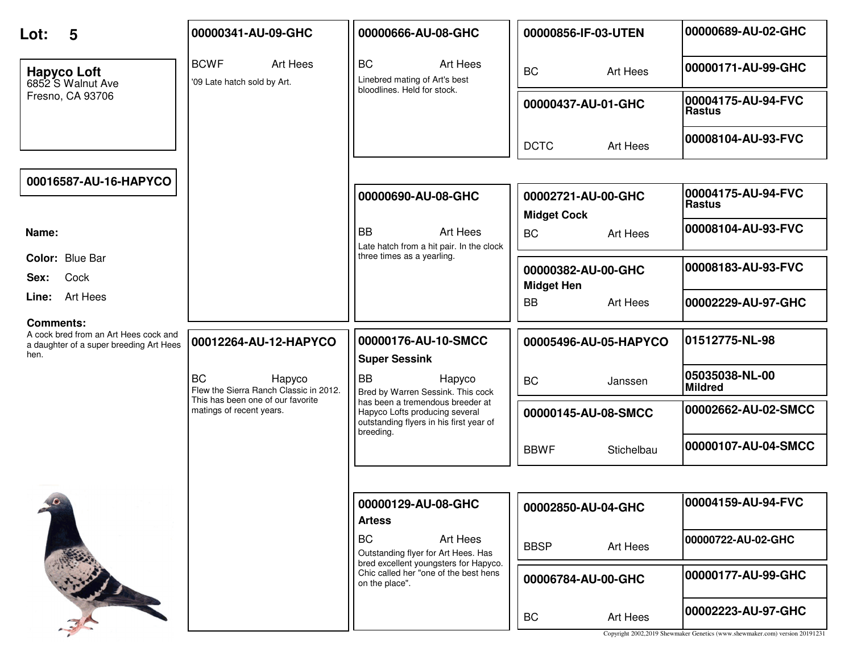| 5<br>Lot:                                                                                                    | 00000341-AU-09-GHC                                            | 00000666-AU-08-GHC                                                                                                         | 00000856-IF-03-UTEN                      | 00000689-AU-02-GHC                                                                                |
|--------------------------------------------------------------------------------------------------------------|---------------------------------------------------------------|----------------------------------------------------------------------------------------------------------------------------|------------------------------------------|---------------------------------------------------------------------------------------------------|
| <b>Hapyco Loft</b><br>6852 S Walnut Ave                                                                      | <b>BCWF</b><br>Art Hees<br>'09 Late hatch sold by Art.        | <b>BC</b><br>Art Hees<br>Linebred mating of Art's best<br>bloodlines. Held for stock.                                      | <b>BC</b><br>Art Hees                    | 00000171-AU-99-GHC                                                                                |
| Fresno, CA 93706                                                                                             |                                                               |                                                                                                                            | 00000437-AU-01-GHC                       | 00004175-AU-94-FVC<br><b>Rastus</b>                                                               |
|                                                                                                              |                                                               |                                                                                                                            | <b>DCTC</b><br>Art Hees                  | 00008104-AU-93-FVC                                                                                |
| 00016587-AU-16-HAPYCO                                                                                        |                                                               |                                                                                                                            |                                          |                                                                                                   |
|                                                                                                              |                                                               | 00000690-AU-08-GHC                                                                                                         | 00002721-AU-00-GHC<br><b>Midget Cock</b> | 00004175-AU-94-FVC<br><b>Rastus</b>                                                               |
| Name:                                                                                                        |                                                               | <b>BB</b><br>Art Hees<br>Late hatch from a hit pair. In the clock                                                          | <b>BC</b><br>Art Hees                    | 00008104-AU-93-FVC                                                                                |
| Color: Blue Bar<br>Cock<br>Sex:                                                                              |                                                               | three times as a yearling.                                                                                                 | 00000382-AU-00-GHC<br><b>Midget Hen</b>  | 00008183-AU-93-FVC                                                                                |
| Line: Art Hees                                                                                               |                                                               |                                                                                                                            | Art Hees<br><b>BB</b>                    | 00002229-AU-97-GHC                                                                                |
| <b>Comments:</b><br>A cock bred from an Art Hees cock and<br>a daughter of a super breeding Art Hees<br>hen. | 00012264-AU-12-HAPYCO                                         | 00000176-AU-10-SMCC<br><b>Super Sessink</b>                                                                                | 00005496-AU-05-HAPYCO                    | 01512775-NL-98                                                                                    |
|                                                                                                              | <b>BC</b><br>Hapyco<br>Flew the Sierra Ranch Classic in 2012. | <b>BB</b><br>Hapyco<br>Bred by Warren Sessink. This cock                                                                   | <b>BC</b><br>Janssen                     | 05035038-NL-00<br><b>Mildred</b>                                                                  |
|                                                                                                              | This has been one of our favorite<br>matings of recent years. | has been a tremendous breeder at<br>Hapyco Lofts producing several<br>outstanding flyers in his first year of<br>breeding. | 00000145-AU-08-SMCC                      | 00002662-AU-02-SMCC                                                                               |
|                                                                                                              |                                                               |                                                                                                                            | <b>BBWF</b><br>Stichelbau                | 00000107-AU-04-SMCC                                                                               |
|                                                                                                              |                                                               |                                                                                                                            |                                          |                                                                                                   |
|                                                                                                              |                                                               | 00000129-AU-08-GHC<br><b>Artess</b>                                                                                        | 00002850-AU-04-GHC                       | 00004159-AU-94-FVC                                                                                |
|                                                                                                              |                                                               | <b>BC</b><br>Art Hees<br>Outstanding flyer for Art Hees. Has                                                               | <b>BBSP</b><br>Art Hees                  | 00000722-AU-02-GHC                                                                                |
|                                                                                                              |                                                               | bred excellent youngsters for Hapyco.<br>Chic called her "one of the best hens<br>on the place".                           | 00006784-AU-00-GHC                       | 00000177-AU-99-GHC                                                                                |
|                                                                                                              |                                                               |                                                                                                                            | BC<br>Art Hees                           | 00002223-AU-97-GHC<br>Copyright 2002,2019 Shewmaker Genetics (www.shewmaker.com) version 20191231 |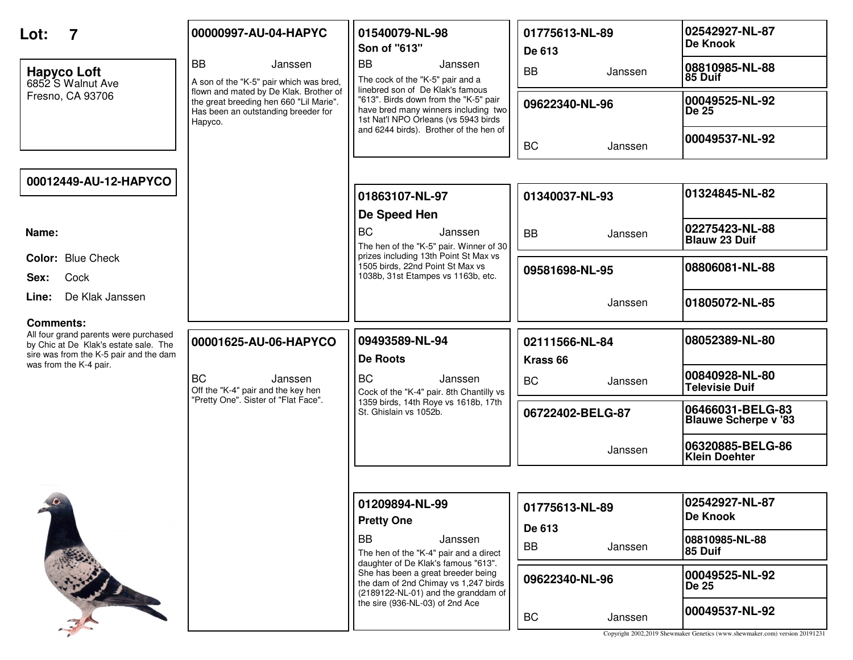| Lot:                                                                                                                                         | 00000997-AU-04-HAPYC                                                                                                                | 01540079-NL-98<br>Son of "613"                                                                                                                            | 01775613-NL-89<br>De 613              | 02542927-NL-87<br><b>De Knook</b>                                                             |
|----------------------------------------------------------------------------------------------------------------------------------------------|-------------------------------------------------------------------------------------------------------------------------------------|-----------------------------------------------------------------------------------------------------------------------------------------------------------|---------------------------------------|-----------------------------------------------------------------------------------------------|
| <b>Hapyco Loft</b><br>6852 S Walnut Ave                                                                                                      | <b>BB</b><br>Janssen<br>A son of the "K-5" pair which was bred,                                                                     | <b>BB</b><br>Janssen<br>The cock of the "K-5" pair and a                                                                                                  | <b>BB</b><br>Janssen                  | 08810985-NL-88<br>85 Duif                                                                     |
| Fresno, CA 93706                                                                                                                             | flown and mated by De Klak. Brother of<br>the great breeding hen 660 "Lil Marie".<br>Has been an outstanding breeder for<br>Hapyco. | linebred son of De Klak's famous<br>"613". Birds down from the "K-5" pair<br>have bred many winners including two<br>1st Nat'l NPO Orleans (vs 5943 birds | 09622340-NL-96                        | 00049525-NL-92<br>De 25                                                                       |
|                                                                                                                                              |                                                                                                                                     | and 6244 birds). Brother of the hen of                                                                                                                    | <b>BC</b><br>Janssen                  | 00049537-NL-92                                                                                |
| 00012449-AU-12-HAPYCO                                                                                                                        |                                                                                                                                     |                                                                                                                                                           |                                       |                                                                                               |
|                                                                                                                                              |                                                                                                                                     | 01863107-NL-97                                                                                                                                            | 01340037-NL-93                        | 01324845-NL-82                                                                                |
| Name:                                                                                                                                        |                                                                                                                                     | De Speed Hen<br><b>BC</b><br>Janssen<br>The hen of the "K-5" pair. Winner of 30                                                                           | <b>BB</b><br>Janssen                  | 02275423-NL-88<br><b>Blauw 23 Duif</b>                                                        |
| Color: Blue Check<br>Cock<br>Sex:                                                                                                            |                                                                                                                                     | prizes including 13th Point St Max vs<br>1505 birds, 22nd Point St Max vs<br>1038b, 31st Etampes vs 1163b, etc.                                           | 09581698-NL-95                        | 08806081-NL-88                                                                                |
| De Klak Janssen<br>Line:                                                                                                                     |                                                                                                                                     |                                                                                                                                                           | Janssen                               | 01805072-NL-85                                                                                |
| <b>Comments:</b><br>All four grand parents were purchased<br>by Chic at De Klak's estate sale. The<br>sire was from the K-5 pair and the dam | 00001625-AU-06-HAPYCO                                                                                                               | 09493589-NL-94<br><b>De Roots</b>                                                                                                                         | 02111566-NL-84<br>Krass <sub>66</sub> | 08052389-NL-80                                                                                |
| was from the K-4 pair.                                                                                                                       | <b>BC</b><br>Janssen<br>Off the "K-4" pair and the key hen                                                                          | BC<br>Janssen<br>Cock of the "K-4" pair. 8th Chantilly vs                                                                                                 | <b>BC</b><br>Janssen                  | 00840928-NL-80<br><b>Televisie Duif</b>                                                       |
|                                                                                                                                              | "Pretty One". Sister of "Flat Face".                                                                                                | 1359 birds, 14th Roye vs 1618b, 17th<br>St. Ghislain vs 1052b.                                                                                            | 06722402-BELG-87                      | 06466031-BELG-83<br><b>Blauwe Scherpe v '83</b>                                               |
|                                                                                                                                              |                                                                                                                                     |                                                                                                                                                           | Janssen                               | 06320885-BELG-86<br><b>Klein Doehter</b>                                                      |
|                                                                                                                                              |                                                                                                                                     |                                                                                                                                                           |                                       |                                                                                               |
| $\bullet$                                                                                                                                    |                                                                                                                                     | 01209894-NL-99<br><b>Pretty One</b>                                                                                                                       | 01775613-NL-89<br>De 613              | 02542927-NL-87<br>De Knook                                                                    |
|                                                                                                                                              |                                                                                                                                     | <b>BB</b><br>Janssen<br>The hen of the "K-4" pair and a direct<br>daughter of De Klak's famous "613".                                                     | <b>BB</b><br>Janssen                  | 08810985-NL-88<br>85 Duif                                                                     |
|                                                                                                                                              |                                                                                                                                     | She has been a great breeder being<br>the dam of 2nd Chimay vs 1,247 birds<br>(2189122-NL-01) and the granddam of                                         | 09622340-NL-96                        | 00049525-NL-92<br>De 25                                                                       |
|                                                                                                                                              |                                                                                                                                     | the sire (936-NL-03) of 2nd Ace                                                                                                                           | BC<br>Janssen                         | 00049537-NL-92<br>Copyright 2002,2019 Shewmaker Genetics (www.shewmaker.com) version 20191231 |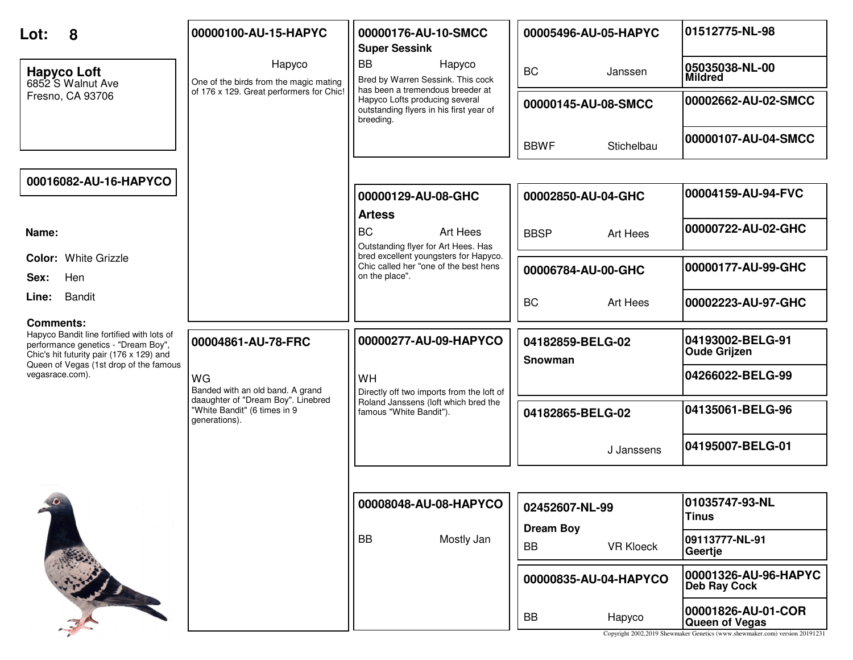| 8<br>Lot:                                                                                                                                        | 00000100-AU-15-HAPYC                                                                | 00000176-AU-10-SMCC<br><b>Super Sessink</b>                                                                                | 00005496-AU-05-HAPYC               | 01512775-NL-98                                                                                                      |
|--------------------------------------------------------------------------------------------------------------------------------------------------|-------------------------------------------------------------------------------------|----------------------------------------------------------------------------------------------------------------------------|------------------------------------|---------------------------------------------------------------------------------------------------------------------|
| <b>Hapyco Loft</b><br>6852 S Walnut Ave                                                                                                          | Hapyco<br>One of the birds from the magic mating                                    | <b>BB</b><br>Hapyco<br>Bred by Warren Sessink. This cock                                                                   | <b>BC</b><br>Janssen               | 05035038-NL-00<br><b>Mildred</b>                                                                                    |
| Fresno, CA 93706                                                                                                                                 | of 176 x 129. Great performers for Chic!                                            | has been a tremendous breeder at<br>Hapyco Lofts producing several<br>outstanding flyers in his first year of<br>breeding. | 00000145-AU-08-SMCC                | 00002662-AU-02-SMCC                                                                                                 |
|                                                                                                                                                  |                                                                                     |                                                                                                                            | <b>BBWF</b><br>Stichelbau          | 00000107-AU-04-SMCC                                                                                                 |
| 00016082-AU-16-HAPYCO                                                                                                                            |                                                                                     |                                                                                                                            |                                    |                                                                                                                     |
|                                                                                                                                                  |                                                                                     | 00000129-AU-08-GHC<br><b>Artess</b>                                                                                        | 00002850-AU-04-GHC                 | 00004159-AU-94-FVC                                                                                                  |
| Name:                                                                                                                                            |                                                                                     | <b>BC</b><br>Art Hees<br>Outstanding flyer for Art Hees. Has                                                               | <b>BBSP</b><br>Art Hees            | 00000722-AU-02-GHC                                                                                                  |
| <b>Color: White Grizzle</b><br>Hen<br>Sex:                                                                                                       |                                                                                     | bred excellent youngsters for Hapyco.<br>Chic called her "one of the best hens<br>on the place".                           | 00006784-AU-00-GHC                 | 00000177-AU-99-GHC                                                                                                  |
| <b>Bandit</b><br>Line:                                                                                                                           |                                                                                     |                                                                                                                            | <b>BC</b><br>Art Hees              | 00002223-AU-97-GHC                                                                                                  |
| <b>Comments:</b><br>Hapyco Bandit line fortified with lots of<br>performance genetics - "Dream Boy",<br>Chic's hit futurity pair (176 x 129) and | 00004861-AU-78-FRC                                                                  | 00000277-AU-09-HAPYCO                                                                                                      | 04182859-BELG-02<br>Snowman        | 04193002-BELG-91<br><b>Oude Grijzen</b>                                                                             |
| Queen of Vegas (1st drop of the famous<br>vegasrace.com).                                                                                        | WG<br>Banded with an old band. A grand                                              | <b>WH</b><br>Directly off two imports from the loft of                                                                     |                                    | 04266022-BELG-99                                                                                                    |
|                                                                                                                                                  | daaughter of "Dream Boy". Linebred<br>"White Bandit" (6 times in 9<br>generations). | Roland Janssens (loft which bred the<br>famous "White Bandit").                                                            | 04182865-BELG-02                   | 04135061-BELG-96                                                                                                    |
|                                                                                                                                                  |                                                                                     |                                                                                                                            | J Janssens                         | 04195007-BELG-01                                                                                                    |
|                                                                                                                                                  |                                                                                     |                                                                                                                            |                                    |                                                                                                                     |
| $\theta$                                                                                                                                         |                                                                                     | 00008048-AU-08-HAPYCO                                                                                                      | 02452607-NL-99<br><b>Dream Boy</b> | 01035747-93-NL<br>Tinus                                                                                             |
|                                                                                                                                                  |                                                                                     | <b>BB</b><br>Mostly Jan                                                                                                    | <b>VR Kloeck</b><br>BB             | 09113777-NL-91<br>Geertje                                                                                           |
|                                                                                                                                                  |                                                                                     |                                                                                                                            | 00000835-AU-04-HAPYCO              | 00001326-AU-96-HAPYC<br><b>Deb Ray Cock</b>                                                                         |
|                                                                                                                                                  |                                                                                     |                                                                                                                            | <b>BB</b><br>Hapyco                | 00001826-AU-01-COR<br>Queen of Vegas<br>Copyright 2002,2019 Shewmaker Genetics (www.shewmaker.com) version 20191231 |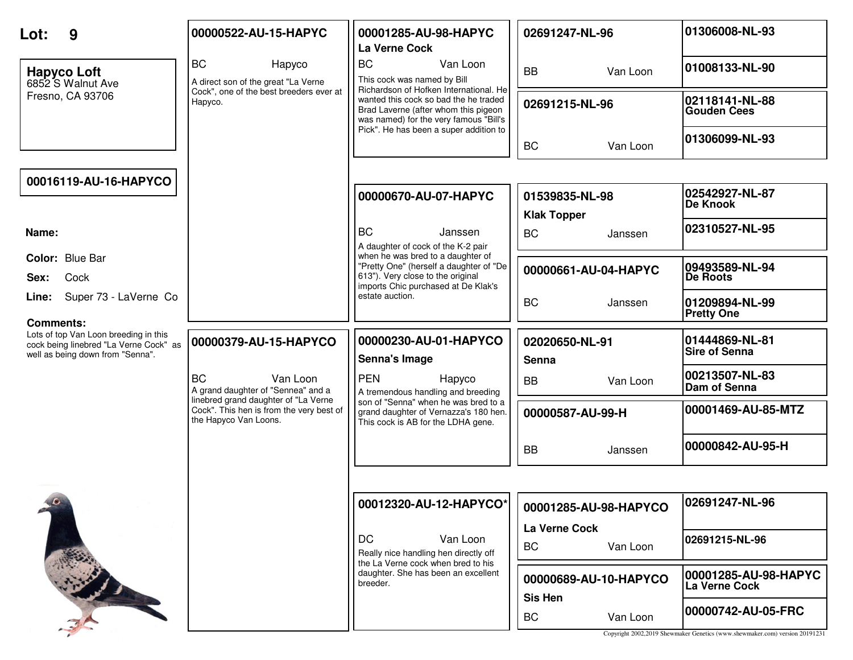| Lot:<br>9                                                                                                                               | 00000522-AU-15-HAPYC                                                                                      | 00001285-AU-98-HAPYC<br>La Verne Cock                                                                                                                             | 02691247-NL-96                          | 01306008-NL-93                         |
|-----------------------------------------------------------------------------------------------------------------------------------------|-----------------------------------------------------------------------------------------------------------|-------------------------------------------------------------------------------------------------------------------------------------------------------------------|-----------------------------------------|----------------------------------------|
| <b>Hapyco Loft</b><br>6852 S Walnut Ave                                                                                                 | <b>BC</b><br>Hapyco<br>A direct son of the great "La Verne                                                | <b>BC</b><br>Van Loon<br>This cock was named by Bill                                                                                                              | Van Loon<br><b>BB</b>                   | 01008133-NL-90                         |
| Fresno, CA 93706                                                                                                                        | Cock", one of the best breeders ever at<br>Hapyco.                                                        | Richardson of Hofken International. He<br>wanted this cock so bad the he traded<br>Brad Laverne (after whom this pigeon<br>was named) for the very famous "Bill's | 02691215-NL-96                          | 02118141-NL-88<br><b>Gouden Cees</b>   |
|                                                                                                                                         |                                                                                                           | Pick". He has been a super addition to                                                                                                                            | <b>BC</b><br>Van Loon                   | 01306099-NL-93                         |
| 00016119-AU-16-HAPYCO                                                                                                                   |                                                                                                           |                                                                                                                                                                   |                                         |                                        |
|                                                                                                                                         |                                                                                                           | 00000670-AU-07-HAPYC                                                                                                                                              | 01539835-NL-98<br><b>Klak Topper</b>    | 02542927-NL-87<br><b>De Knook</b>      |
| Name:                                                                                                                                   |                                                                                                           | <b>BC</b><br>Janssen<br>A daughter of cock of the K-2 pair                                                                                                        | <b>BC</b><br>Janssen                    | 02310527-NL-95                         |
| Color: Blue Bar<br>Cock<br>Sex:                                                                                                         |                                                                                                           | when he was bred to a daughter of<br>"Pretty One" (herself a daughter of "De<br>613"). Very close to the original<br>imports Chic purchased at De Klak's          | 00000661-AU-04-HAPYC                    | 09493589-NL-94<br>De Roots             |
| Super 73 - LaVerne Co<br>Line:                                                                                                          |                                                                                                           | estate auction.                                                                                                                                                   | <b>BC</b><br>Janssen                    | 01209894-NL-99<br><b>Pretty One</b>    |
| <b>Comments:</b><br>Lots of top Van Loon breeding in this<br>cock being linebred "La Verne Cock" as<br>well as being down from "Senna". | 00000379-AU-15-HAPYCO                                                                                     | 00000230-AU-01-HAPYCO<br>Senna's Image                                                                                                                            | 02020650-NL-91<br>Senna                 | 01444869-NL-81<br><b>Sire of Senna</b> |
|                                                                                                                                         | <b>BC</b><br>Van Loon<br>A grand daughter of "Sennea" and a                                               | <b>PEN</b><br>Hapyco<br>A tremendous handling and breeding                                                                                                        | <b>BB</b><br>Van Loon                   | 00213507-NL-83<br>Dam of Senna         |
|                                                                                                                                         | linebred grand daughter of "La Verne<br>Cock". This hen is from the very best of<br>the Hapyco Van Loons. | son of "Senna" when he was bred to a<br>grand daughter of Vernazza's 180 hen.<br>This cock is AB for the LDHA gene.                                               | 00000587-AU-99-H                        | 00001469-AU-85-MTZ                     |
|                                                                                                                                         |                                                                                                           |                                                                                                                                                                   | <b>BB</b><br>Janssen                    | 00000842-AU-95-H                       |
|                                                                                                                                         |                                                                                                           |                                                                                                                                                                   |                                         |                                        |
|                                                                                                                                         |                                                                                                           | 00012320-AU-12-HAPYCO*                                                                                                                                            | 00001285-AU-98-HAPYCO                   | 02691247-NL-96                         |
|                                                                                                                                         |                                                                                                           | <b>DC</b><br>Van Loon<br>Really nice handling hen directly off                                                                                                    | La Verne Cock<br><b>BC</b><br>Van Loon  | 02691215-NL-96                         |
|                                                                                                                                         |                                                                                                           | the La Verne cock when bred to his<br>daughter. She has been an excellent<br>breeder.                                                                             | 00000689-AU-10-HAPYCO<br><b>Sis Hen</b> | 00001285-AU-98-HAPYC<br>La Verne Cock  |
|                                                                                                                                         |                                                                                                           |                                                                                                                                                                   |                                         | 00000742-AU-05-FRC                     |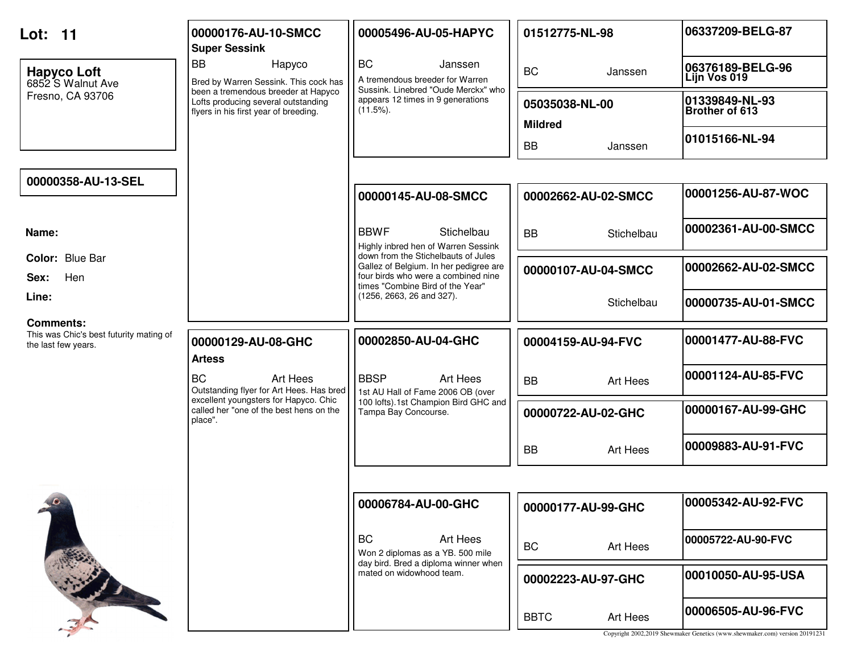| <b>Lot: 11</b>                                                              | 00000176-AU-10-SMCC<br><b>Super Sessink</b>                                                                         | 00005496-AU-05-HAPYC                                                                                                                                     | 01512775-NL-98                   | 06337209-BELG-87                                                                                  |
|-----------------------------------------------------------------------------|---------------------------------------------------------------------------------------------------------------------|----------------------------------------------------------------------------------------------------------------------------------------------------------|----------------------------------|---------------------------------------------------------------------------------------------------|
| <b>Hapyco Loft</b><br>6852 S Walnut Ave                                     | <b>BB</b><br>Hapyco<br>Bred by Warren Sessink. This cock has                                                        | <b>BC</b><br>Janssen<br>A tremendous breeder for Warren<br>Sussink. Linebred "Oude Merckx" who                                                           | <b>BC</b><br>Janssen             | 06376189-BELG-96<br>Lijn Vos 019                                                                  |
| Fresno, CA 93706                                                            | been a tremendous breeder at Hapyco<br>Lofts producing several outstanding<br>flyers in his first year of breeding. | appears 12 times in 9 generations<br>$(11.5\%)$ .                                                                                                        | 05035038-NL-00<br><b>Mildred</b> | 01339849-NL-93<br>Brother of 613                                                                  |
|                                                                             |                                                                                                                     |                                                                                                                                                          | <b>BB</b><br>Janssen             | 01015166-NL-94                                                                                    |
| 00000358-AU-13-SEL                                                          |                                                                                                                     |                                                                                                                                                          |                                  |                                                                                                   |
|                                                                             |                                                                                                                     | 00000145-AU-08-SMCC                                                                                                                                      | 00002662-AU-02-SMCC              | 00001256-AU-87-WOC                                                                                |
| Name:                                                                       |                                                                                                                     | <b>BBWF</b><br>Stichelbau<br>Highly inbred hen of Warren Sessink                                                                                         | <b>BB</b><br>Stichelbau          | 00002361-AU-00-SMCC                                                                               |
| Color: Blue Bar<br>Hen<br>Sex:                                              |                                                                                                                     | down from the Stichelbauts of Jules<br>Gallez of Belgium. In her pedigree are<br>four birds who were a combined nine<br>times "Combine Bird of the Year" | 00000107-AU-04-SMCC              | 00002662-AU-02-SMCC                                                                               |
| Line:                                                                       |                                                                                                                     | (1256, 2663, 26 and 327).                                                                                                                                | Stichelbau                       | 00000735-AU-01-SMCC                                                                               |
| Comments:<br>This was Chic's best futurity mating of<br>the last few years. | 00000129-AU-08-GHC<br><b>Artess</b>                                                                                 | 00002850-AU-04-GHC                                                                                                                                       | 00004159-AU-94-FVC               | 00001477-AU-88-FVC                                                                                |
|                                                                             | <b>BC</b><br>Art Hees<br>Outstanding flyer for Art Hees. Has bred                                                   | <b>BBSP</b><br>Art Hees<br>1st AU Hall of Fame 2006 OB (over                                                                                             | <b>BB</b><br>Art Hees            | 00001124-AU-85-FVC                                                                                |
|                                                                             | excellent youngsters for Hapyco. Chic<br>called her "one of the best hens on the<br>place".                         | 100 lofts).1st Champion Bird GHC and<br>Tampa Bay Concourse.                                                                                             | 00000722-AU-02-GHC               | 00000167-AU-99-GHC                                                                                |
|                                                                             |                                                                                                                     |                                                                                                                                                          | <b>BB</b><br>Art Hees            | 00009883-AU-91-FVC                                                                                |
|                                                                             |                                                                                                                     |                                                                                                                                                          |                                  |                                                                                                   |
| $10 -$                                                                      |                                                                                                                     | 00006784-AU-00-GHC                                                                                                                                       | 00000177-AU-99-GHC               | 00005342-AU-92-FVC                                                                                |
|                                                                             |                                                                                                                     | <b>BC</b><br>Art Hees<br>Won 2 diplomas as a YB. 500 mile                                                                                                | <b>BC</b><br>Art Hees            | 00005722-AU-90-FVC                                                                                |
|                                                                             |                                                                                                                     | day bird. Bred a diploma winner when<br>mated on widowhood team.                                                                                         | 00002223-AU-97-GHC               | 00010050-AU-95-USA                                                                                |
|                                                                             |                                                                                                                     |                                                                                                                                                          | <b>BBTC</b><br>Art Hees          | 00006505-AU-96-FVC<br>Copyright 2002,2019 Shewmaker Genetics (www.shewmaker.com) version 20191231 |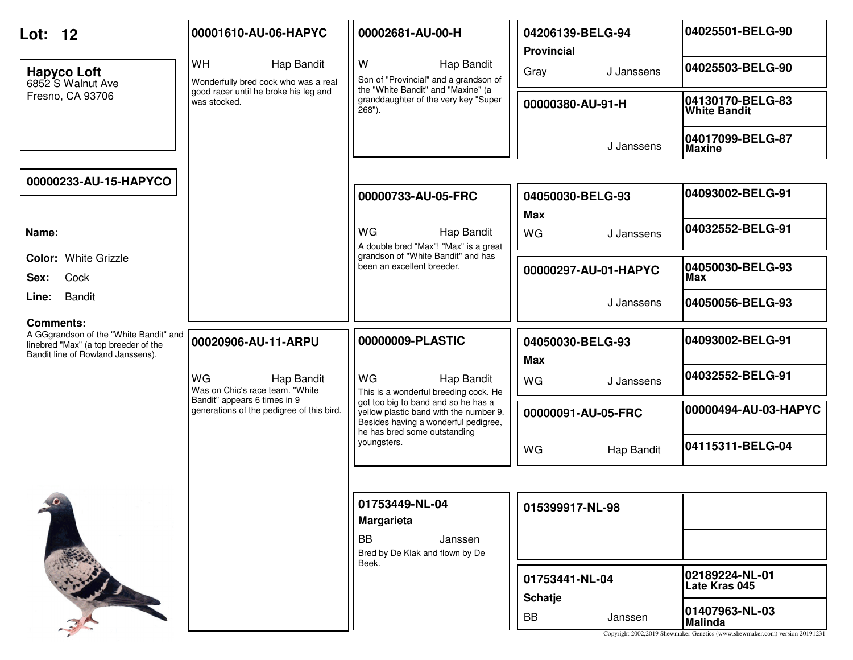| Lot: 12                                                                                                                                 | 00001610-AU-06-HAPYC                                                      | 00002681-AU-00-H                                                                                                                                      | 04206139-BELG-94<br><b>Provincial</b> | 04025501-BELG-90                                                                                                |
|-----------------------------------------------------------------------------------------------------------------------------------------|---------------------------------------------------------------------------|-------------------------------------------------------------------------------------------------------------------------------------------------------|---------------------------------------|-----------------------------------------------------------------------------------------------------------------|
| <b>Hapyco Loft</b><br>6852 S Walnut Ave                                                                                                 | <b>WH</b><br>Hap Bandit<br>Wonderfully bred cock who was a real           | W<br>Hap Bandit<br>Son of "Provincial" and a grandson of<br>the "White Bandit" and "Maxine" (a                                                        | Gray<br>J Janssens                    | 04025503-BELG-90                                                                                                |
| Fresno, CA 93706                                                                                                                        | good racer until he broke his leg and<br>was stocked.                     | granddaughter of the very key "Super<br>$268"$ ).                                                                                                     | 00000380-AU-91-H                      | 04130170-BELG-83<br><b>White Bandit</b>                                                                         |
|                                                                                                                                         |                                                                           |                                                                                                                                                       | J Janssens                            | 04017099-BELG-87<br><b>Maxine</b>                                                                               |
| 00000233-AU-15-HAPYCO                                                                                                                   |                                                                           |                                                                                                                                                       |                                       |                                                                                                                 |
|                                                                                                                                         |                                                                           | 00000733-AU-05-FRC                                                                                                                                    | 04050030-BELG-93<br><b>Max</b>        | 04093002-BELG-91                                                                                                |
| Name:                                                                                                                                   |                                                                           | <b>WG</b><br>Hap Bandit<br>A double bred "Max"! "Max" is a great                                                                                      | WG<br>J Janssens                      | 04032552-BELG-91                                                                                                |
| <b>Color: White Grizzle</b><br>Cock<br>Sex:                                                                                             |                                                                           | grandson of "White Bandit" and has<br>been an excellent breeder.                                                                                      | 00000297-AU-01-HAPYC                  | 04050030-BELG-93<br>Max                                                                                         |
| Bandit<br>Line:                                                                                                                         |                                                                           |                                                                                                                                                       | J Janssens                            | 04050056-BELG-93                                                                                                |
| <b>Comments:</b><br>A GGgrandson of the "White Bandit" and<br>linebred "Max" (a top breeder of the<br>Bandit line of Rowland Janssens). | 00020906-AU-11-ARPU                                                       | 00000009-PLASTIC                                                                                                                                      | 04050030-BELG-93<br><b>Max</b>        | 04093002-BELG-91                                                                                                |
|                                                                                                                                         | WG<br>Hap Bandit<br>Was on Chic's race team. "White                       | WG<br>Hap Bandit<br>This is a wonderful breeding cock. He                                                                                             | <b>WG</b><br>J Janssens               | 04032552-BELG-91                                                                                                |
|                                                                                                                                         | Bandit" appears 6 times in 9<br>generations of the pedigree of this bird. | got too big to band and so he has a<br>yellow plastic band with the number 9.<br>Besides having a wonderful pedigree,<br>he has bred some outstanding | 00000091-AU-05-FRC                    | 00000494-AU-03-HAPYC                                                                                            |
|                                                                                                                                         |                                                                           | youngsters.                                                                                                                                           | WG<br>Hap Bandit                      | 04115311-BELG-04                                                                                                |
|                                                                                                                                         |                                                                           |                                                                                                                                                       |                                       |                                                                                                                 |
|                                                                                                                                         |                                                                           | 01753449-NL-04<br><b>Margarieta</b>                                                                                                                   | 015399917-NL-98                       |                                                                                                                 |
|                                                                                                                                         |                                                                           | <b>BB</b><br>Janssen<br>Bred by De Klak and flown by De<br>Beek.                                                                                      |                                       |                                                                                                                 |
|                                                                                                                                         |                                                                           |                                                                                                                                                       | 01753441-NL-04<br><b>Schatje</b>      | 02189224-NL-01<br>Late Kras 045                                                                                 |
|                                                                                                                                         |                                                                           |                                                                                                                                                       | <b>BB</b><br>Janssen                  | 01407963-NL-03<br><b>Malinda</b><br>Copyright 2002,2019 Shewmaker Genetics (www.shewmaker.com) version 20191231 |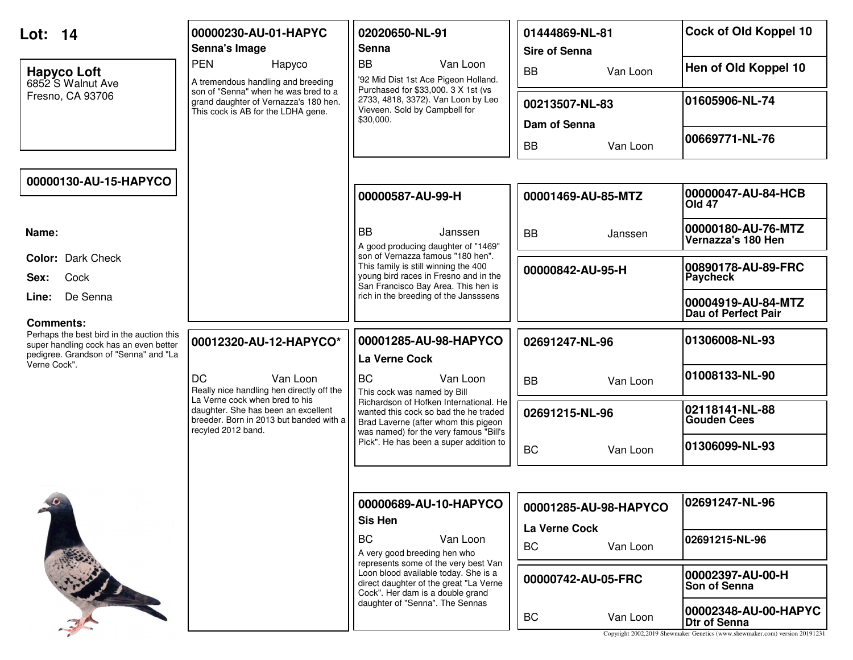| Lot: 14                                                                                                                      | 00000230-AU-01-HAPYC<br>Senna's Image                                                                                                  | 02020650-NL-91<br>Senna                                                                                                                                           | 01444869-NL-81<br><b>Sire of Senna</b> | Cock of Old Koppel 10                                                                                                      |
|------------------------------------------------------------------------------------------------------------------------------|----------------------------------------------------------------------------------------------------------------------------------------|-------------------------------------------------------------------------------------------------------------------------------------------------------------------|----------------------------------------|----------------------------------------------------------------------------------------------------------------------------|
| <b>Hapyco Loft</b><br>6852 S Walnut Ave                                                                                      | <b>PEN</b><br>Hapyco<br>A tremendous handling and breeding                                                                             | <b>BB</b><br>Van Loon<br>'92 Mid Dist 1st Ace Pigeon Holland.<br>Purchased for \$33,000. 3 X 1st (vs                                                              | <b>BB</b><br>Van Loon                  | Hen of Old Koppel 10                                                                                                       |
| Fresno, CA 93706                                                                                                             | son of "Senna" when he was bred to a<br>grand daughter of Vernazza's 180 hen.<br>This cock is AB for the LDHA gene.                    | 2733, 4818, 3372). Van Loon by Leo<br>Vieveen. Sold by Campbell for<br>\$30,000.                                                                                  | 00213507-NL-83<br>Dam of Senna         | 01605906-NL-74                                                                                                             |
|                                                                                                                              |                                                                                                                                        |                                                                                                                                                                   | <b>BB</b><br>Van Loon                  | 00669771-NL-76                                                                                                             |
| 00000130-AU-15-HAPYCO                                                                                                        |                                                                                                                                        |                                                                                                                                                                   |                                        |                                                                                                                            |
|                                                                                                                              |                                                                                                                                        | 00000587-AU-99-H                                                                                                                                                  | 00001469-AU-85-MTZ                     | 00000047-AU-84-HCB<br><b>Old 47</b>                                                                                        |
| Name:                                                                                                                        |                                                                                                                                        | <b>BB</b><br>Janssen<br>A good producing daughter of "1469"                                                                                                       | <b>BB</b><br>Janssen                   | 00000180-AU-76-MTZ<br>Vernazza's 180 Hen                                                                                   |
| <b>Color: Dark Check</b><br>Cock<br>Sex:                                                                                     |                                                                                                                                        | son of Vernazza famous "180 hen".<br>This family is still winning the 400<br>young bird races in Fresno and in the<br>San Francisco Bay Area. This hen is         | 00000842-AU-95-H                       | 00890178-AU-89-FRC<br><b>Paycheck</b>                                                                                      |
| De Senna<br>Line:<br><b>Comments:</b>                                                                                        |                                                                                                                                        | rich in the breeding of the Jansssens                                                                                                                             |                                        | 00004919-AU-84-MTZ<br>Dau of Perfect Pair                                                                                  |
| Perhaps the best bird in the auction this<br>super handling cock has an even better<br>pedigree. Grandson of "Senna" and "La | 00012320-AU-12-HAPYCO*                                                                                                                 | 00001285-AU-98-HAPYCO<br>La Verne Cock                                                                                                                            | 02691247-NL-96                         | 01306008-NL-93                                                                                                             |
| Verne Cock".                                                                                                                 | <b>DC</b><br>Van Loon<br>Really nice handling hen directly off the                                                                     | <b>BC</b><br>Van Loon<br>This cock was named by Bill                                                                                                              | <b>BB</b><br>Van Loon                  | 01008133-NL-90                                                                                                             |
|                                                                                                                              | La Verne cock when bred to his<br>daughter. She has been an excellent<br>breeder. Born in 2013 but banded with a<br>recyled 2012 band. | Richardson of Hofken International, He<br>wanted this cock so bad the he traded<br>Brad Laverne (after whom this pigeon<br>was named) for the very famous "Bill's | 02691215-NL-96                         | 02118141-NL-88<br><b>Gouden Cees</b>                                                                                       |
|                                                                                                                              |                                                                                                                                        | Pick". He has been a super addition to                                                                                                                            | <b>BC</b><br>Van Loon                  | 01306099-NL-93                                                                                                             |
|                                                                                                                              |                                                                                                                                        |                                                                                                                                                                   |                                        |                                                                                                                            |
| $\bullet$                                                                                                                    |                                                                                                                                        | 00000689-AU-10-HAPYCO<br>Sis Hen                                                                                                                                  | 00001285-AU-98-HAPYCO                  | 02691247-NL-96                                                                                                             |
|                                                                                                                              |                                                                                                                                        | <b>BC</b><br>Van Loon<br>A very good breeding hen who<br>represents some of the very best Van                                                                     | La Verne Cock<br><b>BC</b><br>Van Loon | 02691215-NL-96                                                                                                             |
|                                                                                                                              |                                                                                                                                        | Loon blood available today. She is a<br>direct daughter of the great "La Verne<br>Cock". Her dam is a double grand                                                | 00000742-AU-05-FRC                     | 00002397-AU-00-H<br>Son of Senna                                                                                           |
|                                                                                                                              |                                                                                                                                        | daughter of "Senna". The Sennas                                                                                                                                   | Van Loon<br><b>BC</b>                  | 00002348-AU-00-HAPYC<br><b>Dtr of Senna</b><br>Copyright 2002,2019 Shewmaker Genetics (www.shewmaker.com) version 20191231 |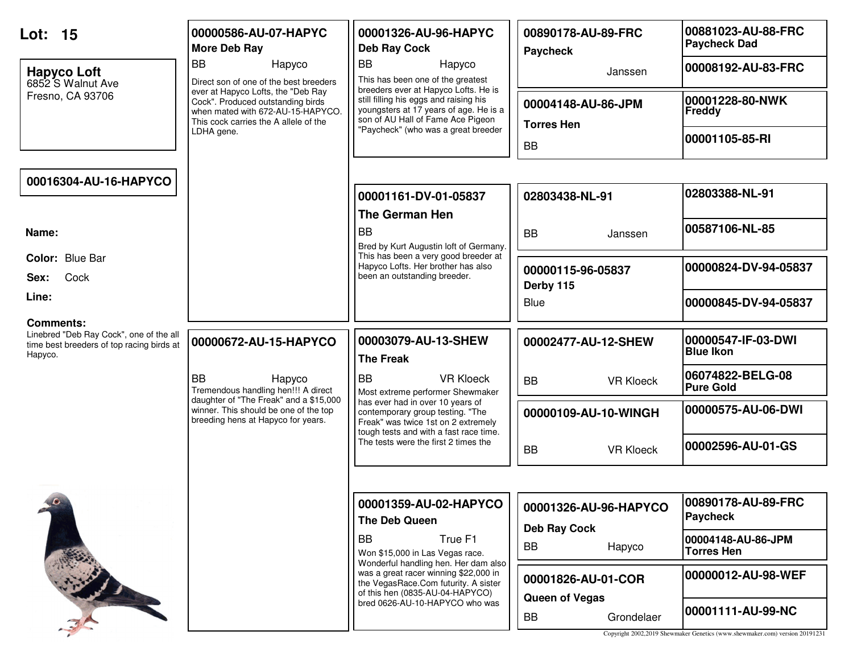| Lot: 15                                                                                                             | 00000586-AU-07-HAPYC<br><b>More Deb Ray</b>                                                                                                           | 00001326-AU-96-HAPYC<br><b>Deb Ray Cock</b>                                                                                                           | 00890178-AU-89-FRC<br>Paycheck               | 00881023-AU-88-FRC<br><b>Paycheck Dad</b>                                                        |
|---------------------------------------------------------------------------------------------------------------------|-------------------------------------------------------------------------------------------------------------------------------------------------------|-------------------------------------------------------------------------------------------------------------------------------------------------------|----------------------------------------------|--------------------------------------------------------------------------------------------------|
| <b>Hapyco Loft</b><br>6852 S Walnut Ave                                                                             | <b>BB</b><br>Hapyco<br>Direct son of one of the best breeders                                                                                         | <b>BB</b><br>Hapyco<br>This has been one of the greatest<br>breeders ever at Hapyco Lofts. He is                                                      | Janssen                                      | 00008192-AU-83-FRC                                                                               |
| Fresno, CA 93706                                                                                                    | ever at Hapyco Lofts, the "Deb Ray<br>Cock". Produced outstanding birds<br>when mated with 672-AU-15-HAPYCO.<br>This cock carries the A allele of the | still filling his eggs and raising his<br>youngsters at 17 years of age. He is a<br>son of AU Hall of Fame Ace Pigeon                                 | 00004148-AU-86-JPM<br><b>Torres Hen</b>      | 00001228-80-NWK<br>Freddy                                                                        |
|                                                                                                                     | LDHA gene.                                                                                                                                            | "Paycheck" (who was a great breeder                                                                                                                   | <b>BB</b>                                    | 00001105-85-RI                                                                                   |
| 00016304-AU-16-HAPYCO                                                                                               |                                                                                                                                                       |                                                                                                                                                       |                                              |                                                                                                  |
|                                                                                                                     |                                                                                                                                                       | 00001161-DV-01-05837<br><b>The German Hen</b>                                                                                                         | 02803438-NL-91                               | 02803388-NL-91                                                                                   |
| Name:                                                                                                               |                                                                                                                                                       | <b>BB</b><br>Bred by Kurt Augustin loft of Germany.                                                                                                   | <b>BB</b><br>Janssen                         | 00587106-NL-85                                                                                   |
| Color: Blue Bar<br>Cock<br>Sex:                                                                                     |                                                                                                                                                       | This has been a very good breeder at<br>Hapyco Lofts. Her brother has also<br>been an outstanding breeder.                                            | 00000115-96-05837<br>Derby 115               | 00000824-DV-94-05837                                                                             |
| Line:                                                                                                               |                                                                                                                                                       |                                                                                                                                                       | Blue                                         | 00000845-DV-94-05837                                                                             |
| <b>Comments:</b><br>Linebred "Deb Ray Cock", one of the all<br>time best breeders of top racing birds at<br>Hapyco. | 00000672-AU-15-HAPYCO                                                                                                                                 | 00003079-AU-13-SHEW<br><b>The Freak</b>                                                                                                               | 00002477-AU-12-SHEW                          | 00000547-IF-03-DWI<br><b>Blue Ikon</b>                                                           |
|                                                                                                                     | <b>BB</b><br>Hapyco<br>Tremendous handling hen!!! A direct                                                                                            | <b>BB</b><br><b>VR Kloeck</b><br>Most extreme performer Shewmaker                                                                                     | <b>BB</b><br><b>VR Kloeck</b>                | 06074822-BELG-08<br><b>Pure Gold</b>                                                             |
|                                                                                                                     | daughter of "The Freak" and a \$15,000<br>winner. This should be one of the top<br>breeding hens at Hapyco for years.                                 | has ever had in over 10 years of<br>contemporary group testing. "The<br>Freak" was twice 1st on 2 extremely<br>tough tests and with a fast race time. | 00000109-AU-10-WINGH                         | 00000575-AU-06-DWI                                                                               |
|                                                                                                                     |                                                                                                                                                       | The tests were the first 2 times the                                                                                                                  | <b>BB</b><br><b>VR Kloeck</b>                | 00002596-AU-01-GS                                                                                |
|                                                                                                                     |                                                                                                                                                       |                                                                                                                                                       |                                              |                                                                                                  |
| $10 -$                                                                                                              |                                                                                                                                                       | 00001359-AU-02-HAPYCO<br>The Deb Queen                                                                                                                | 00001326-AU-96-HAPYCO<br><b>Deb Ray Cock</b> | 00890178-AU-89-FRC<br>Paycheck                                                                   |
|                                                                                                                     |                                                                                                                                                       | <b>BB</b><br>True F1<br>Won \$15,000 in Las Vegas race.<br>Wonderful handling hen. Her dam also                                                       | BB<br>Hapyco                                 | 00004148-AU-86-JPM<br><b>Torres Hen</b>                                                          |
|                                                                                                                     |                                                                                                                                                       | was a great racer winning \$22,000 in<br>the VegasRace.Com futurity. A sister<br>of this hen (0835-AU-04-HAPYCO)                                      | 00001826-AU-01-COR<br>Queen of Vegas         | 00000012-AU-98-WEF                                                                               |
|                                                                                                                     |                                                                                                                                                       | bred 0626-AU-10-HAPYCO who was                                                                                                                        | BB<br>Grondelaer                             | 00001111-AU-99-NC<br>Copyright 2002,2019 Shewmaker Genetics (www.shewmaker.com) version 20191231 |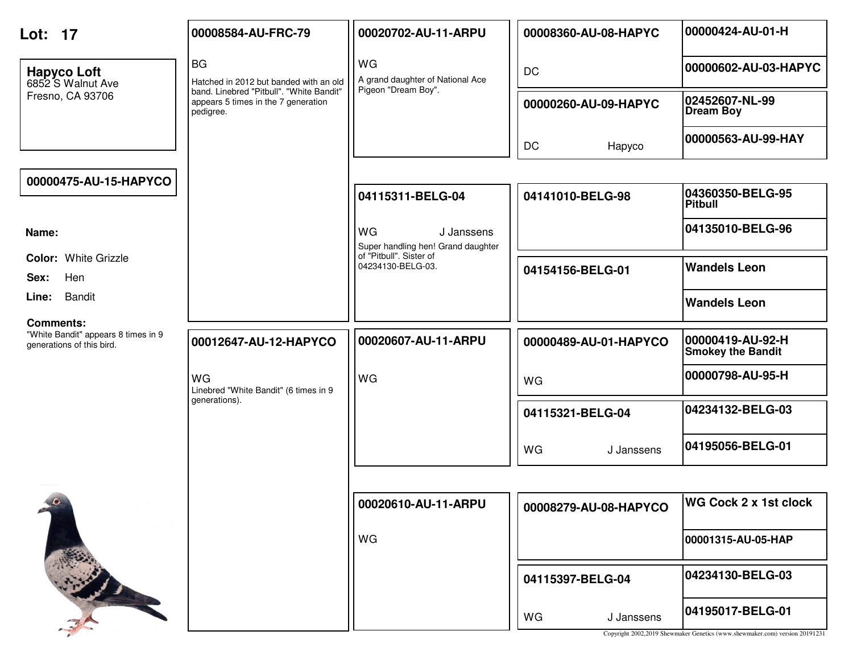| Lot: 17                                                                              | 00008584-AU-FRC-79                                                                           | 00020702-AU-11-ARPU                                           | 00008360-AU-08-HAPYC  | 00000424-AU-01-H                                                                                |
|--------------------------------------------------------------------------------------|----------------------------------------------------------------------------------------------|---------------------------------------------------------------|-----------------------|-------------------------------------------------------------------------------------------------|
| <b>Hapyco Loft</b><br>6852 S Walnut Ave                                              | <b>BG</b><br>Hatched in 2012 but banded with an old                                          | WG<br>A grand daughter of National Ace                        | <b>DC</b>             | 00000602-AU-03-HAPYC                                                                            |
| Fresno, CA 93706                                                                     | band. Linebred "Pitbull". "White Bandit"<br>appears 5 times in the 7 generation<br>pedigree. | Pigeon "Dream Boy".                                           | 00000260-AU-09-HAPYC  | 02452607-NL-99<br><b>Dream Boy</b>                                                              |
|                                                                                      |                                                                                              |                                                               | <b>DC</b><br>Hapyco   | 00000563-AU-99-HAY                                                                              |
| 00000475-AU-15-HAPYCO                                                                |                                                                                              |                                                               |                       |                                                                                                 |
|                                                                                      |                                                                                              | 04115311-BELG-04                                              | 04141010-BELG-98      | 04360350-BELG-95<br><b>Pitbull</b>                                                              |
| Name:                                                                                |                                                                                              | <b>WG</b><br>J Janssens<br>Super handling hen! Grand daughter |                       | 04135010-BELG-96                                                                                |
| Color: White Grizzle<br>Hen<br>Sex:                                                  |                                                                                              | of "Pitbull". Sister of<br>04234130-BELG-03.                  | 04154156-BELG-01      | <b>Wandels Leon</b>                                                                             |
| <b>Bandit</b><br>Line:                                                               |                                                                                              |                                                               |                       | <b>Wandels Leon</b>                                                                             |
| <b>Comments:</b><br>"White Bandit" appears 8 times in 9<br>generations of this bird. | 00012647-AU-12-HAPYCO                                                                        | 00020607-AU-11-ARPU                                           | 00000489-AU-01-HAPYCO | 00000419-AU-92-H<br><b>Smokey the Bandit</b>                                                    |
|                                                                                      | WG<br>Linebred "White Bandit" (6 times in 9                                                  | WG                                                            | WG                    | 00000798-AU-95-H                                                                                |
|                                                                                      | generations).                                                                                |                                                               | 04115321-BELG-04      | 04234132-BELG-03                                                                                |
|                                                                                      |                                                                                              |                                                               | WG<br>J Janssens      | 04195056-BELG-01                                                                                |
|                                                                                      |                                                                                              |                                                               |                       |                                                                                                 |
| $10 -$                                                                               |                                                                                              | 00020610-AU-11-ARPU                                           | 00008279-AU-08-HAPYCO | <b>WG Cock 2 x 1st clock</b>                                                                    |
|                                                                                      |                                                                                              | WG                                                            |                       | 00001315-AU-05-HAP                                                                              |
|                                                                                      |                                                                                              |                                                               | 04115397-BELG-04      | 04234130-BELG-03                                                                                |
|                                                                                      |                                                                                              |                                                               | WG<br>J Janssens      | 04195017-BELG-01<br>Copyright 2002,2019 Shewmaker Genetics (www.shewmaker.com) version 20191231 |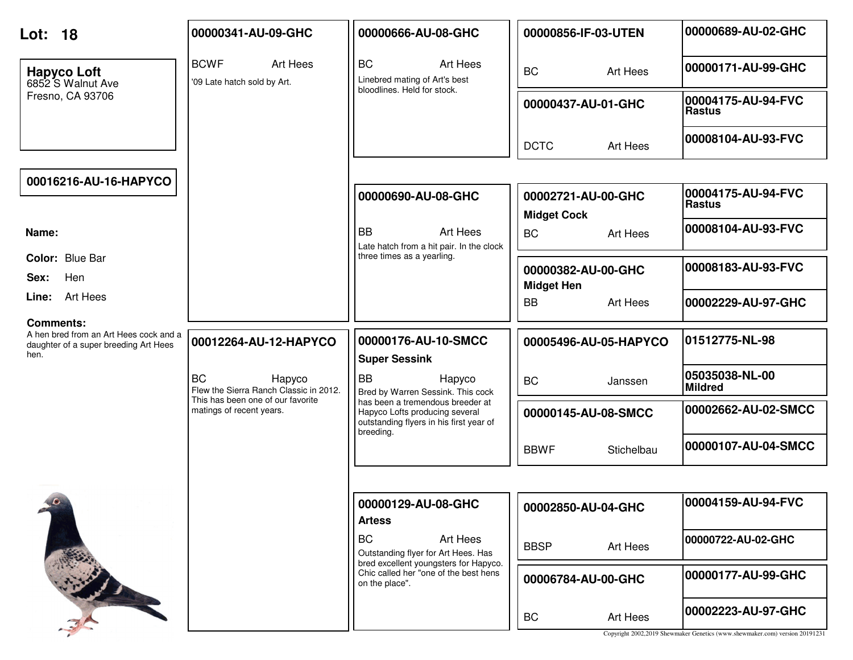| Lot: 18                                                    | 00000341-AU-09-GHC                                            | 00000666-AU-08-GHC                                                                                                         | 00000856-IF-03-UTEN                      | 00000689-AU-02-GHC                                                                                |
|------------------------------------------------------------|---------------------------------------------------------------|----------------------------------------------------------------------------------------------------------------------------|------------------------------------------|---------------------------------------------------------------------------------------------------|
| <b>Hapyco Loft</b><br>6852 S Walnut Ave                    | <b>BCWF</b><br>Art Hees<br>'09 Late hatch sold by Art.        | <b>BC</b><br>Art Hees<br>Linebred mating of Art's best<br>bloodlines. Held for stock.                                      | <b>BC</b><br>Art Hees                    | 00000171-AU-99-GHC                                                                                |
| Fresno, CA 93706                                           |                                                               |                                                                                                                            | 00000437-AU-01-GHC                       | 00004175-AU-94-FVC<br><b>Rastus</b>                                                               |
|                                                            |                                                               |                                                                                                                            | <b>DCTC</b><br>Art Hees                  | 00008104-AU-93-FVC                                                                                |
| 00016216-AU-16-HAPYCO                                      |                                                               |                                                                                                                            |                                          |                                                                                                   |
|                                                            |                                                               | 00000690-AU-08-GHC                                                                                                         | 00002721-AU-00-GHC<br><b>Midget Cock</b> | 00004175-AU-94-FVC<br><b>Rastus</b>                                                               |
| Name:                                                      |                                                               | <b>BB</b><br>Art Hees<br>Late hatch from a hit pair. In the clock                                                          | <b>BC</b><br>Art Hees                    | 00008104-AU-93-FVC                                                                                |
| Color: Blue Bar<br>Hen<br>Sex:                             |                                                               | three times as a yearling.                                                                                                 | 00000382-AU-00-GHC<br><b>Midget Hen</b>  | 00008183-AU-93-FVC                                                                                |
| Line: Art Hees                                             |                                                               |                                                                                                                            | <b>BB</b><br>Art Hees                    | 00002229-AU-97-GHC                                                                                |
| <b>Comments:</b><br>A hen bred from an Art Hees cock and a |                                                               | 00000176-AU-10-SMCC                                                                                                        |                                          | 01512775-NL-98                                                                                    |
| daughter of a super breeding Art Hees<br>hen.              | 00012264-AU-12-HAPYCO                                         | <b>Super Sessink</b>                                                                                                       | 00005496-AU-05-HAPYCO                    |                                                                                                   |
|                                                            | <b>BC</b><br>Hapyco<br>Flew the Sierra Ranch Classic in 2012. | <b>BB</b><br>Hapyco<br>Bred by Warren Sessink. This cock                                                                   | <b>BC</b><br>Janssen                     | 05035038-NL-00<br><b>Mildred</b>                                                                  |
|                                                            | This has been one of our favorite<br>matings of recent years. | has been a tremendous breeder at<br>Hapyco Lofts producing several<br>outstanding flyers in his first year of<br>breeding. | 00000145-AU-08-SMCC                      | 00002662-AU-02-SMCC                                                                               |
|                                                            |                                                               |                                                                                                                            | <b>BBWF</b><br>Stichelbau                | 00000107-AU-04-SMCC                                                                               |
|                                                            |                                                               |                                                                                                                            |                                          |                                                                                                   |
|                                                            |                                                               | 00000129-AU-08-GHC<br><b>Artess</b>                                                                                        | 00002850-AU-04-GHC                       | 00004159-AU-94-FVC                                                                                |
|                                                            |                                                               | <b>BC</b><br>Art Hees<br>Outstanding flyer for Art Hees. Has                                                               | <b>BBSP</b><br>Art Hees                  | 00000722-AU-02-GHC                                                                                |
|                                                            |                                                               | bred excellent youngsters for Hapyco.<br>Chic called her "one of the best hens<br>on the place".                           | 00006784-AU-00-GHC                       | 00000177-AU-99-GHC                                                                                |
|                                                            |                                                               |                                                                                                                            | <b>BC</b><br>Art Hees                    | 00002223-AU-97-GHC<br>Copyright 2002,2019 Shewmaker Genetics (www.shewmaker.com) version 20191231 |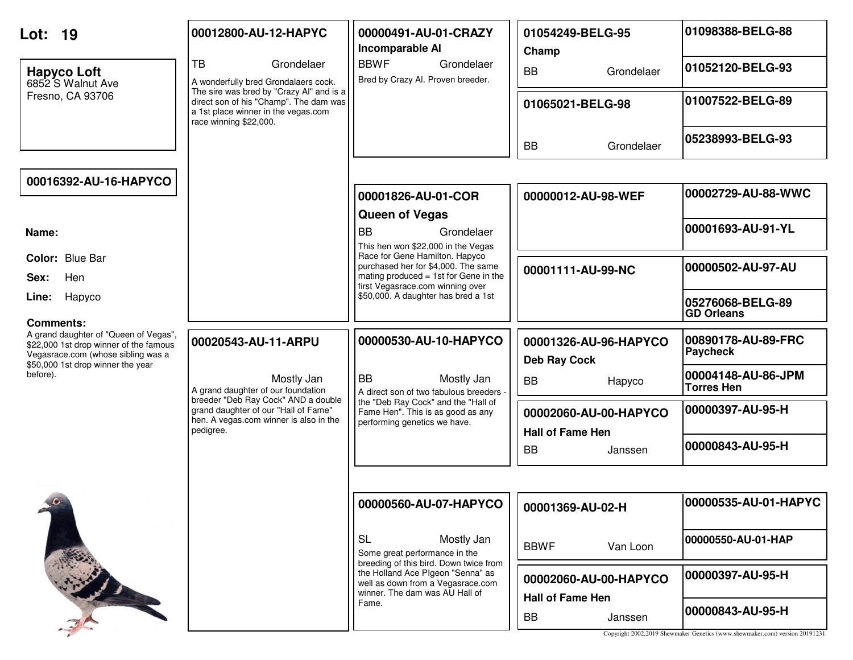| Lot: 19<br><b>Hapyco Loft</b><br>6852 S Walnut Ave<br>Fresno, CA 93706                                                                                                              | 00012800-AU-12-HAPYC<br><b>TB</b><br>Grondelaer<br>A wonderfully bred Grondalaers cock.<br>The sire was bred by "Crazy Al" and is a<br>direct son of his "Champ". The dam was<br>a 1st place winner in the vegas.com<br>race winning \$22,000. | 00000491-AU-01-CRAZY<br>Incomparable Al<br><b>BBWF</b><br>Grondelaer<br>Bred by Crazy Al. Proven breeder.                                                                                                                                                  | 01054249-BELG-95<br>Champ<br><b>BB</b><br>Grondelaer<br>01065021-BELG-98                                                                        | 01098388-BELG-88<br>01052120-BELG-93<br>01007522-BELG-89<br>05238993-BELG-93                                                                                      |
|-------------------------------------------------------------------------------------------------------------------------------------------------------------------------------------|------------------------------------------------------------------------------------------------------------------------------------------------------------------------------------------------------------------------------------------------|------------------------------------------------------------------------------------------------------------------------------------------------------------------------------------------------------------------------------------------------------------|-------------------------------------------------------------------------------------------------------------------------------------------------|-------------------------------------------------------------------------------------------------------------------------------------------------------------------|
| 00016392-AU-16-HAPYCO                                                                                                                                                               |                                                                                                                                                                                                                                                | 00001826-AU-01-COR<br><b>Queen of Vegas</b>                                                                                                                                                                                                                | <b>BB</b><br>Grondelaer<br>00000012-AU-98-WEF                                                                                                   | 00002729-AU-88-WWC                                                                                                                                                |
| Name:<br>Color: Blue Bar<br>Hen<br>Sex:<br>Hapyco<br>Line:                                                                                                                          |                                                                                                                                                                                                                                                | <b>BB</b><br>Grondelaer<br>This hen won \$22,000 in the Vegas<br>Race for Gene Hamilton. Hapyco<br>purchased her for \$4,000. The same<br>mating produced = 1st for Gene in the<br>first Vegasrace.com winning over<br>\$50,000. A daughter has bred a 1st | 00001111-AU-99-NC                                                                                                                               | 00001693-AU-91-YL<br>00000502-AU-97-AU<br>05276068-BELG-89<br><b>GD Orleans</b>                                                                                   |
| Comments:<br>A grand daughter of "Queen of Vegas",<br>\$22,000 1st drop winner of the famous<br>Vegasrace.com (whose sibling was a<br>\$50,000 1st drop winner the year<br>before). | 00020543-AU-11-ARPU<br>Mostly Jan<br>A grand daughter of our foundation<br>breeder "Deb Ray Cock" AND a double<br>grand daughter of our "Hall of Fame"<br>hen. A vegas.com winner is also in the<br>pedigree.                                  | 00000530-AU-10-HAPYCO<br><b>BB</b><br>Mostly Jan<br>A direct son of two fabulous breeders<br>the "Deb Ray Cock" and the "Hall of<br>Fame Hen". This is as good as any<br>performing genetics we have.                                                      | 00001326-AU-96-HAPYCO<br><b>Deb Ray Cock</b><br><b>BB</b><br>Hapyco<br>00002060-AU-00-HAPYCO<br><b>Hall of Fame Hen</b><br><b>BB</b><br>Janssen | 00890178-AU-89-FRC<br><b>Paycheck</b><br>00004148-AU-86-JPM<br><b>Torres Hen</b><br>00000397-AU-95-H<br>00000843-AU-95-H                                          |
|                                                                                                                                                                                     |                                                                                                                                                                                                                                                | 00000560-AU-07-HAPYCO<br><b>SL</b><br>Mostly Jan<br>Some great performance in the<br>breeding of this bird. Down twice from<br>the Holland Ace Pigeon "Senna" as<br>well as down from a Vegasrace.com<br>winner. The dam was AU Hall of<br>Fame.           | 00001369-AU-02-H<br><b>BBWF</b><br>Van Loon<br>00002060-AU-00-HAPYCO<br><b>Hall of Fame Hen</b><br><b>BB</b><br>Janssen                         | 00000535-AU-01-HAPYC<br>00000550-AU-01-HAP<br>00000397-AU-95-H<br>00000843-AU-95-H<br>Copyright 2002,2019 Shewmaker Genetics (www.shewmaker.com) version 20191231 |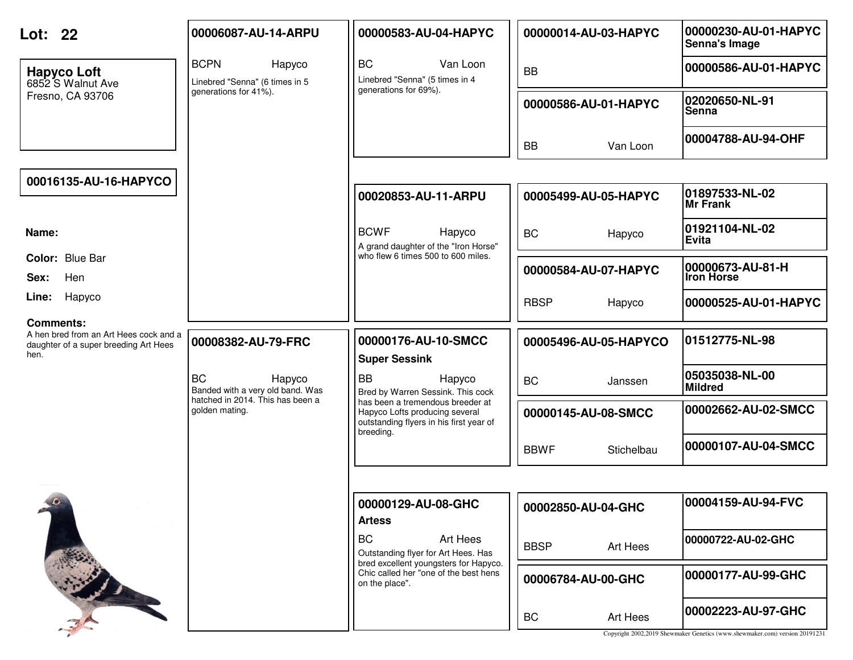| Lot: 22                                                                                                     | 00006087-AU-14-ARPU                                     | 00000583-AU-04-HAPYC                                                                                                       | 00000014-AU-03-HAPYC      | 00000230-AU-01-HAPYC<br>Senna's Image                                                             |
|-------------------------------------------------------------------------------------------------------------|---------------------------------------------------------|----------------------------------------------------------------------------------------------------------------------------|---------------------------|---------------------------------------------------------------------------------------------------|
| <b>Hapyco Loft</b><br>6852 S Walnut Ave                                                                     | <b>BCPN</b><br>Hapyco<br>Linebred "Senna" (6 times in 5 | <b>BC</b><br>Van Loon<br>Linebred "Senna" (5 times in 4                                                                    | <b>BB</b>                 | 00000586-AU-01-HAPYC                                                                              |
| Fresno, CA 93706                                                                                            | generations for 41%).                                   | generations for 69%).                                                                                                      | 00000586-AU-01-HAPYC      | 02020650-NL-91<br><b>Senna</b>                                                                    |
|                                                                                                             |                                                         |                                                                                                                            | <b>BB</b><br>Van Loon     | 00004788-AU-94-OHF                                                                                |
|                                                                                                             |                                                         |                                                                                                                            |                           |                                                                                                   |
| 00016135-AU-16-HAPYCO                                                                                       |                                                         | 00020853-AU-11-ARPU                                                                                                        | 00005499-AU-05-HAPYC      | 01897533-NL-02<br><b>Mr Frank</b>                                                                 |
| Name:                                                                                                       |                                                         | <b>BCWF</b><br>Hapyco<br>A grand daughter of the "Iron Horse"                                                              | <b>BC</b><br>Hapyco       | 01921104-NL-02<br>Evita                                                                           |
| Color: Blue Bar<br>Hen<br>Sex:                                                                              |                                                         | who flew 6 times 500 to 600 miles.                                                                                         | 00000584-AU-07-HAPYC      | 00000673-AU-81-H<br><b>Iron Horse</b>                                                             |
| Hapyco<br>Line:                                                                                             |                                                         |                                                                                                                            | <b>RBSP</b><br>Hapyco     | 00000525-AU-01-HAPYC                                                                              |
| <b>Comments:</b><br>A hen bred from an Art Hees cock and a<br>daughter of a super breeding Art Hees<br>hen. | 00008382-AU-79-FRC                                      | 00000176-AU-10-SMCC<br><b>Super Sessink</b>                                                                                | 00005496-AU-05-HAPYCO     | 01512775-NL-98                                                                                    |
|                                                                                                             | <b>BC</b><br>Hapyco<br>Banded with a very old band. Was | <b>BB</b><br>Hapyco<br>Bred by Warren Sessink. This cock                                                                   | <b>BC</b><br>Janssen      | 05035038-NL-00<br><b>Mildred</b>                                                                  |
|                                                                                                             | hatched in 2014. This has been a<br>golden mating.      | has been a tremendous breeder at<br>Hapyco Lofts producing several<br>outstanding flyers in his first year of<br>breeding. | 00000145-AU-08-SMCC       | 00002662-AU-02-SMCC                                                                               |
|                                                                                                             |                                                         |                                                                                                                            | <b>BBWF</b><br>Stichelbau | 00000107-AU-04-SMCC                                                                               |
|                                                                                                             |                                                         |                                                                                                                            |                           |                                                                                                   |
|                                                                                                             |                                                         | 00000129-AU-08-GHC<br><b>Artess</b>                                                                                        | 00002850-AU-04-GHC        | 00004159-AU-94-FVC                                                                                |
|                                                                                                             |                                                         | <b>BC</b><br>Art Hees<br>Outstanding flyer for Art Hees. Has                                                               | <b>BBSP</b><br>Art Hees   | 00000722-AU-02-GHC                                                                                |
|                                                                                                             |                                                         | bred excellent youngsters for Hapyco.<br>Chic called her "one of the best hens<br>on the place".                           | 00006784-AU-00-GHC        | 00000177-AU-99-GHC                                                                                |
|                                                                                                             |                                                         |                                                                                                                            | BC<br>Art Hees            | 00002223-AU-97-GHC<br>Copyright 2002,2019 Shewmaker Genetics (www.shewmaker.com) version 20191231 |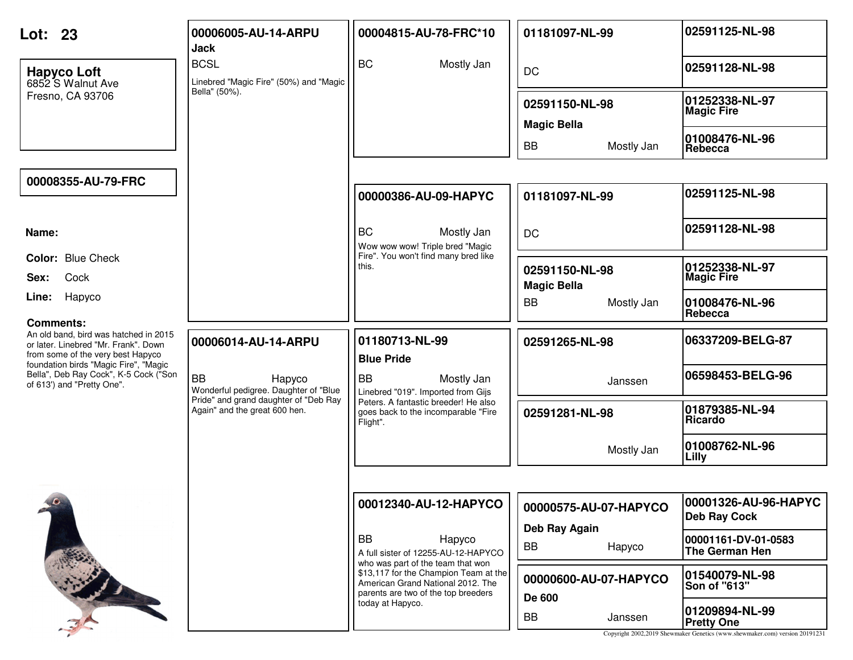| Lot: 23                                                                                                                                | 00006005-AU-14-ARPU<br><b>Jack</b>                                     | 00004815-AU-78-FRC*10                                                                                                                                  | 01181097-NL-99                       | 02591125-NL-98                                                                                                     |
|----------------------------------------------------------------------------------------------------------------------------------------|------------------------------------------------------------------------|--------------------------------------------------------------------------------------------------------------------------------------------------------|--------------------------------------|--------------------------------------------------------------------------------------------------------------------|
| <b>Hapyco Loft</b><br>6852 S Walnut Ave                                                                                                | <b>BCSL</b><br>Linebred "Magic Fire" (50%) and "Magic                  | <b>BC</b><br>Mostly Jan                                                                                                                                | <b>DC</b>                            | 02591128-NL-98                                                                                                     |
| Fresno, CA 93706                                                                                                                       | Bella" (50%).                                                          |                                                                                                                                                        | 02591150-NL-98<br><b>Magic Bella</b> | 01252338-NL-97<br><b>Magic Fire</b>                                                                                |
|                                                                                                                                        |                                                                        |                                                                                                                                                        | <b>BB</b><br>Mostly Jan              | 01008476-NL-96<br>Rebecca                                                                                          |
| 00008355-AU-79-FRC                                                                                                                     |                                                                        | 00000386-AU-09-HAPYC                                                                                                                                   | 01181097-NL-99                       | 02591125-NL-98                                                                                                     |
|                                                                                                                                        |                                                                        |                                                                                                                                                        |                                      |                                                                                                                    |
| Name:                                                                                                                                  |                                                                        | <b>BC</b><br>Mostly Jan<br>Wow wow wow! Triple bred "Magic                                                                                             | <b>DC</b>                            | 02591128-NL-98                                                                                                     |
| <b>Color: Blue Check</b><br>Cock<br>Sex:                                                                                               |                                                                        | Fire". You won't find many bred like<br>this.                                                                                                          | 02591150-NL-98<br><b>Magic Bella</b> | 01252338-NL-97<br><b>Magic Fire</b>                                                                                |
| Hapyco<br>Line:                                                                                                                        |                                                                        |                                                                                                                                                        | <b>BB</b><br>Mostly Jan              | 01008476-NL-96<br>Rebecca                                                                                          |
| <b>Comments:</b><br>An old band, bird was hatched in 2015<br>or later. Linebred "Mr. Frank". Down<br>from some of the very best Hapyco | 00006014-AU-14-ARPU                                                    | 01180713-NL-99<br><b>Blue Pride</b>                                                                                                                    | 02591265-NL-98                       | 06337209-BELG-87                                                                                                   |
| foundation birds "Magic Fire", "Magic<br>Bella", Deb Ray Cock", K-5 Cock ("Son<br>of 613') and "Pretty One".                           | <b>BB</b><br>Hapyco<br>Wonderful pedigree. Daughter of "Blue           | <b>BB</b><br>Mostly Jan<br>Linebred "019". Imported from Gijs                                                                                          | Janssen                              | 06598453-BELG-96                                                                                                   |
|                                                                                                                                        | Pride" and grand daughter of "Deb Ray<br>Again" and the great 600 hen. | Peters. A fantastic breeder! He also<br>goes back to the incomparable "Fire<br>Flight".                                                                | 02591281-NL-98                       | 01879385-NL-94<br>Ricardo                                                                                          |
|                                                                                                                                        |                                                                        |                                                                                                                                                        | Mostly Jan                           | 01008762-NL-96<br>Lilly                                                                                            |
|                                                                                                                                        |                                                                        |                                                                                                                                                        |                                      |                                                                                                                    |
|                                                                                                                                        |                                                                        | 00012340-AU-12-HAPYCO                                                                                                                                  | 00000575-AU-07-HAPYCO                | 00001326-AU-96-HAPYC<br><b>Deb Ray Cock</b>                                                                        |
|                                                                                                                                        |                                                                        | <b>BB</b><br>Hapyco<br>A full sister of 12255-AU-12-HAPYCO                                                                                             | Deb Ray Again<br>BB<br>Hapyco        | 00001161-DV-01-0583<br>The German Hen                                                                              |
|                                                                                                                                        |                                                                        | who was part of the team that won<br>\$13,117 for the Champion Team at the<br>American Grand National 2012. The<br>parents are two of the top breeders | 00000600-AU-07-HAPYCO<br>De 600      | 01540079-NL-98<br><b>Son of "613"</b>                                                                              |
|                                                                                                                                        |                                                                        | today at Hapyco.                                                                                                                                       | BB<br>Janssen                        | 01209894-NL-99<br><b>Pretty One</b><br>Copyright 2002,2019 Shewmaker Genetics (www.shewmaker.com) version 20191231 |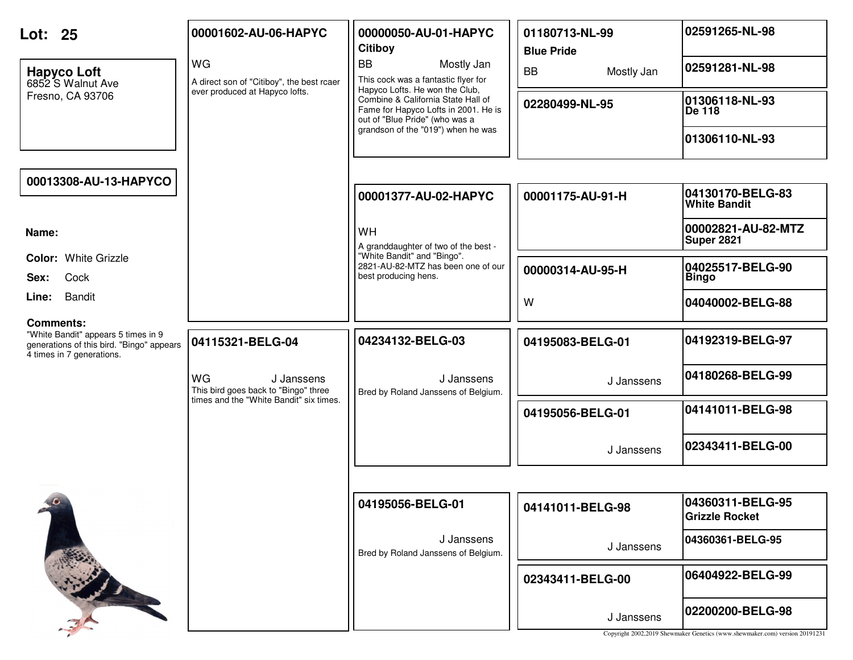| Lot: 25                                                                | 00001602-AU-06-HAPYC                                     | 00000050-AU-01-HAPYC<br><b>Citiboy</b>                                                                       | 01180713-NL-99<br><b>Blue Pride</b> | 02591265-NL-98                                                                                  |
|------------------------------------------------------------------------|----------------------------------------------------------|--------------------------------------------------------------------------------------------------------------|-------------------------------------|-------------------------------------------------------------------------------------------------|
| <b>Hapyco Loft</b><br>6852 S Walnut Ave                                | WG<br>A direct son of "Citiboy", the best rcaer          | <b>BB</b><br>Mostly Jan<br>This cock was a fantastic flyer for<br>Hapyco Lofts. He won the Club,             | <b>BB</b><br>Mostly Jan             | 02591281-NL-98                                                                                  |
| Fresno, CA 93706                                                       | ever produced at Hapyco lofts.                           | Combine & California State Hall of<br>Fame for Hapyco Lofts in 2001. He is<br>out of "Blue Pride" (who was a | 02280499-NL-95                      | 01306118-NL-93<br>De 118                                                                        |
|                                                                        |                                                          | grandson of the "019") when he was                                                                           |                                     | 01306110-NL-93                                                                                  |
| 00013308-AU-13-HAPYCO                                                  |                                                          |                                                                                                              |                                     |                                                                                                 |
|                                                                        |                                                          | 00001377-AU-02-HAPYC                                                                                         | 00001175-AU-91-H                    | 04130170-BELG-83<br><b>White Bandit</b>                                                         |
| Name:                                                                  |                                                          | WH<br>A granddaughter of two of the best -                                                                   |                                     | 00002821-AU-82-MTZ<br><b>Super 2821</b>                                                         |
| <b>Color: White Grizzle</b><br>Cock<br>Sex:                            |                                                          | "White Bandit" and "Bingo".<br>2821-AU-82-MTZ has been one of our<br>best producing hens.                    | 00000314-AU-95-H                    | 04025517-BELG-90<br><b>Bingo</b>                                                                |
| <b>Bandit</b><br>Line:                                                 |                                                          |                                                                                                              | W                                   | 04040002-BELG-88                                                                                |
| <b>Comments:</b><br>"White Bandit" appears 5 times in 9                |                                                          |                                                                                                              |                                     |                                                                                                 |
| generations of this bird. "Bingo" appears<br>4 times in 7 generations. | 04115321-BELG-04                                         | 04234132-BELG-03                                                                                             | 04195083-BELG-01                    | 04192319-BELG-97                                                                                |
|                                                                        | WG<br>J Janssens<br>This bird goes back to "Bingo" three | J Janssens<br>Bred by Roland Janssens of Belgium.                                                            | J Janssens                          | 04180268-BELG-99                                                                                |
|                                                                        | times and the "White Bandit" six times.                  |                                                                                                              | 04195056-BELG-01                    | 04141011-BELG-98                                                                                |
|                                                                        |                                                          |                                                                                                              | J Janssens                          | 02343411-BELG-00                                                                                |
|                                                                        |                                                          |                                                                                                              |                                     |                                                                                                 |
| $10 -$                                                                 |                                                          | 04195056-BELG-01                                                                                             | 04141011-BELG-98                    | 04360311-BELG-95<br><b>Grizzle Rocket</b>                                                       |
|                                                                        |                                                          | J Janssens<br>Bred by Roland Janssens of Belgium.                                                            | J Janssens                          | 04360361-BELG-95                                                                                |
|                                                                        |                                                          |                                                                                                              | 02343411-BELG-00                    | 06404922-BELG-99                                                                                |
|                                                                        |                                                          |                                                                                                              | J Janssens                          | 02200200-BELG-98<br>Copyright 2002,2019 Shewmaker Genetics (www.shewmaker.com) version 20191231 |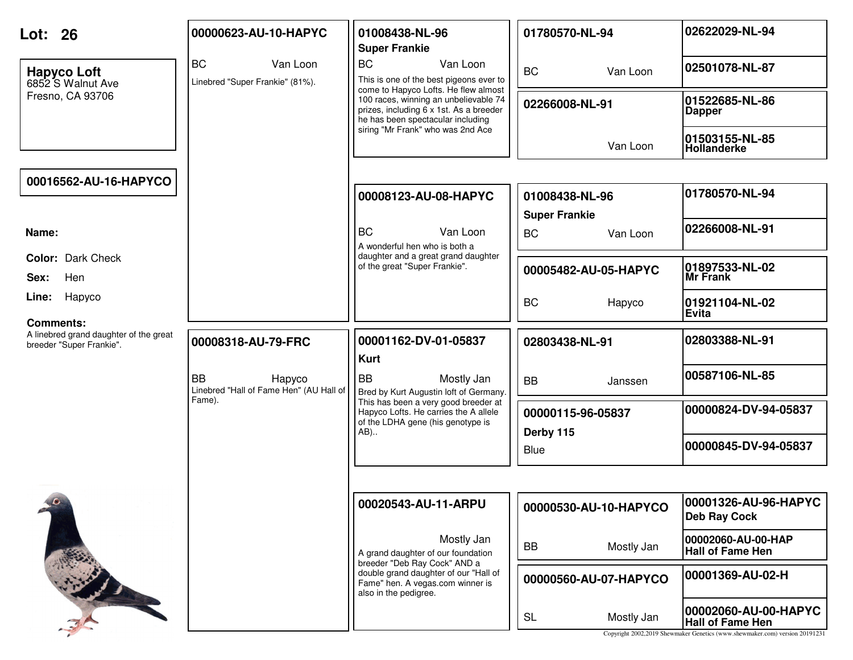| Lot: 26                                                                                | 00000623-AU-10-HAPYC                                           | 01008438-NL-96<br><b>Super Frankie</b>                                                                                    | 01780570-NL-94                                | 02622029-NL-94                                                                                                                 |
|----------------------------------------------------------------------------------------|----------------------------------------------------------------|---------------------------------------------------------------------------------------------------------------------------|-----------------------------------------------|--------------------------------------------------------------------------------------------------------------------------------|
| <b>Hapyco Loft</b><br>6852 S Walnut Ave                                                | <b>BC</b><br>Van Loon<br>Linebred "Super Frankie" (81%).       | <b>BC</b><br>Van Loon<br>This is one of the best pigeons ever to<br>come to Hapyco Lofts. He flew almost                  | <b>BC</b><br>Van Loon                         | 02501078-NL-87                                                                                                                 |
| Fresno, CA 93706                                                                       |                                                                | 100 races, winning an unbelievable 74<br>prizes, including 6 x 1st. As a breeder<br>he has been spectacular including     | 02266008-NL-91                                | 01522685-NL-86<br><b>Dapper</b>                                                                                                |
|                                                                                        |                                                                | siring "Mr Frank" who was 2nd Ace                                                                                         | Van Loon                                      | 01503155-NL-85<br><b>Hollanderke</b>                                                                                           |
| 00016562-AU-16-HAPYCO                                                                  |                                                                |                                                                                                                           |                                               |                                                                                                                                |
|                                                                                        |                                                                | 00008123-AU-08-HAPYC                                                                                                      | 01008438-NL-96                                | 01780570-NL-94                                                                                                                 |
| Name:                                                                                  |                                                                | <b>BC</b><br>Van Loon<br>A wonderful hen who is both a                                                                    | <b>Super Frankie</b><br><b>BC</b><br>Van Loon | 02266008-NL-91                                                                                                                 |
| Color: Dark Check<br>Hen<br>Sex:                                                       |                                                                | daughter and a great grand daughter<br>of the great "Super Frankie".                                                      | 00005482-AU-05-HAPYC                          | 01897533-NL-02<br>Mr Frank                                                                                                     |
| Hapyco<br>Line:                                                                        |                                                                |                                                                                                                           | <b>BC</b><br>Hapyco                           | 01921104-NL-02<br>Evita                                                                                                        |
| <b>Comments:</b><br>A linebred grand daughter of the great<br>breeder "Super Frankie". | 00008318-AU-79-FRC                                             | 00001162-DV-01-05837<br><b>Kurt</b>                                                                                       | 02803438-NL-91                                | 02803388-NL-91                                                                                                                 |
|                                                                                        | <b>BB</b><br>Hapyco<br>Linebred "Hall of Fame Hen" (AU Hall of | <b>BB</b><br>Mostly Jan<br>Bred by Kurt Augustin loft of Germany.                                                         | <b>BB</b><br>Janssen                          | 00587106-NL-85                                                                                                                 |
|                                                                                        | Fame).                                                         | This has been a very good breeder at<br>Hapyco Lofts. He carries the A allele<br>of the LDHA gene (his genotype is<br>AB) | 00000115-96-05837<br>Derby 115                | 00000824-DV-94-05837                                                                                                           |
|                                                                                        |                                                                |                                                                                                                           | Blue                                          | 00000845-DV-94-05837                                                                                                           |
|                                                                                        |                                                                |                                                                                                                           |                                               |                                                                                                                                |
| $\sqrt{2}$                                                                             |                                                                | 00020543-AU-11-ARPU                                                                                                       | 00000530-AU-10-HAPYCO                         | 00001326-AU-96-HAPYC<br><b>Deb Ray Cock</b>                                                                                    |
|                                                                                        |                                                                | Mostly Jan<br>A grand daughter of our foundation<br>breeder "Deb Ray Cock" AND a                                          | <b>BB</b><br>Mostly Jan                       | 00002060-AU-00-HAP<br><b>Hall of Fame Hen</b>                                                                                  |
|                                                                                        |                                                                | double grand daughter of our "Hall of<br>Fame" hen. A vegas.com winner is<br>also in the pedigree.                        | 00000560-AU-07-HAPYCO                         | 00001369-AU-02-H                                                                                                               |
|                                                                                        |                                                                |                                                                                                                           | <b>SL</b><br>Mostly Jan                       | 00002060-AU-00-HAPYC<br><b>Hall of Fame Hen</b><br>Copyright 2002,2019 Shewmaker Genetics (www.shewmaker.com) version 20191231 |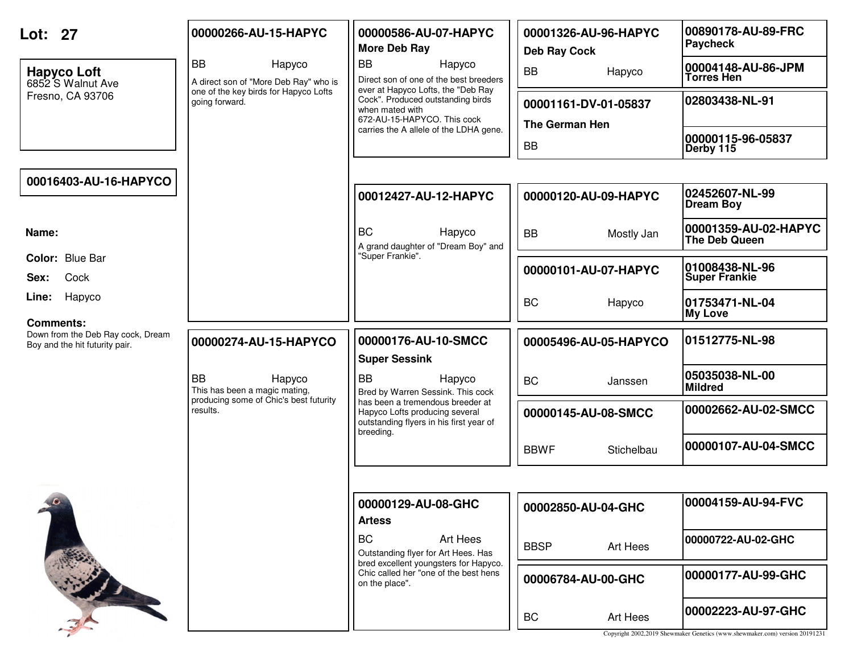| Lot: 27                                                                                 | 00000266-AU-15-HAPYC                                         | 00000586-AU-07-HAPYC<br>More Deb Ray                                                                                       | 00001326-AU-96-HAPYC<br><b>Deb Ray Cock</b> | 00890178-AU-89-FRC<br>Paycheck                                                                    |
|-----------------------------------------------------------------------------------------|--------------------------------------------------------------|----------------------------------------------------------------------------------------------------------------------------|---------------------------------------------|---------------------------------------------------------------------------------------------------|
| <b>Hapyco Loft</b><br>6852 S Walnut Ave                                                 | <b>BB</b><br>Hapyco<br>A direct son of "More Deb Ray" who is | <b>BB</b><br>Hapyco<br>Direct son of one of the best breeders<br>ever at Hapyco Lofts, the "Deb Ray                        | <b>BB</b><br>Hapyco                         | 00004148-AU-86-JPM<br><b>Torres Hen</b>                                                           |
| Fresno, CA 93706                                                                        | one of the key birds for Hapyco Lofts<br>going forward.      | Cock". Produced outstanding birds<br>when mated with<br>672-AU-15-HAPYCO. This cock                                        | 00001161-DV-01-05837<br>The German Hen      | 02803438-NL-91                                                                                    |
|                                                                                         |                                                              | carries the A allele of the LDHA gene.                                                                                     | <b>BB</b>                                   | 00000115-96-05837<br>Derby 115                                                                    |
| 00016403-AU-16-HAPYCO                                                                   |                                                              |                                                                                                                            |                                             |                                                                                                   |
|                                                                                         |                                                              | 00012427-AU-12-HAPYC                                                                                                       | 00000120-AU-09-HAPYC                        | 02452607-NL-99<br><b>Dream Boy</b>                                                                |
| Name:                                                                                   |                                                              | <b>BC</b><br>Hapyco<br>A grand daughter of "Dream Boy" and                                                                 | <b>BB</b><br>Mostly Jan                     | 00001359-AU-02-HAPYC<br>The Deb Queen                                                             |
| Color: Blue Bar<br>Cock<br>Sex:                                                         |                                                              | "Super Frankie".                                                                                                           | 00000101-AU-07-HAPYC                        | 01008438-NL-96<br><b>Super Frankie</b>                                                            |
| Hapyco<br>Line:                                                                         |                                                              |                                                                                                                            | <b>BC</b><br>Hapyco                         | 01753471-NL-04<br><b>My Love</b>                                                                  |
| <b>Comments:</b><br>Down from the Deb Ray cock, Dream<br>Boy and the hit futurity pair. | 00000274-AU-15-HAPYCO                                        | 00000176-AU-10-SMCC<br><b>Super Sessink</b>                                                                                | 00005496-AU-05-HAPYCO                       | 01512775-NL-98                                                                                    |
|                                                                                         | <b>BB</b><br>Hapyco<br>This has been a magic mating,         | <b>BB</b><br>Hapyco<br>Bred by Warren Sessink. This cock                                                                   | <b>BC</b><br>Janssen                        | 05035038-NL-00<br><b>Mildred</b>                                                                  |
|                                                                                         | producing some of Chic's best futurity<br>results.           | has been a tremendous breeder at<br>Hapyco Lofts producing several<br>outstanding flyers in his first year of<br>breeding. | 00000145-AU-08-SMCC                         | 00002662-AU-02-SMCC                                                                               |
|                                                                                         |                                                              |                                                                                                                            | <b>BBWF</b><br>Stichelbau                   | 00000107-AU-04-SMCC                                                                               |
|                                                                                         |                                                              |                                                                                                                            |                                             |                                                                                                   |
| $\theta$                                                                                |                                                              | 00000129-AU-08-GHC<br><b>Artess</b>                                                                                        | 00002850-AU-04-GHC                          | 00004159-AU-94-FVC                                                                                |
|                                                                                         |                                                              | <b>BC</b><br>Art Hees<br>Outstanding flyer for Art Hees. Has                                                               | <b>BBSP</b><br>Art Hees                     | 00000722-AU-02-GHC                                                                                |
|                                                                                         |                                                              | bred excellent youngsters for Hapyco.<br>Chic called her "one of the best hens<br>on the place".                           | 00006784-AU-00-GHC                          | 00000177-AU-99-GHC                                                                                |
|                                                                                         |                                                              |                                                                                                                            | Art Hees<br>BC                              | 00002223-AU-97-GHC<br>Copyright 2002,2019 Shewmaker Genetics (www.shewmaker.com) version 20191231 |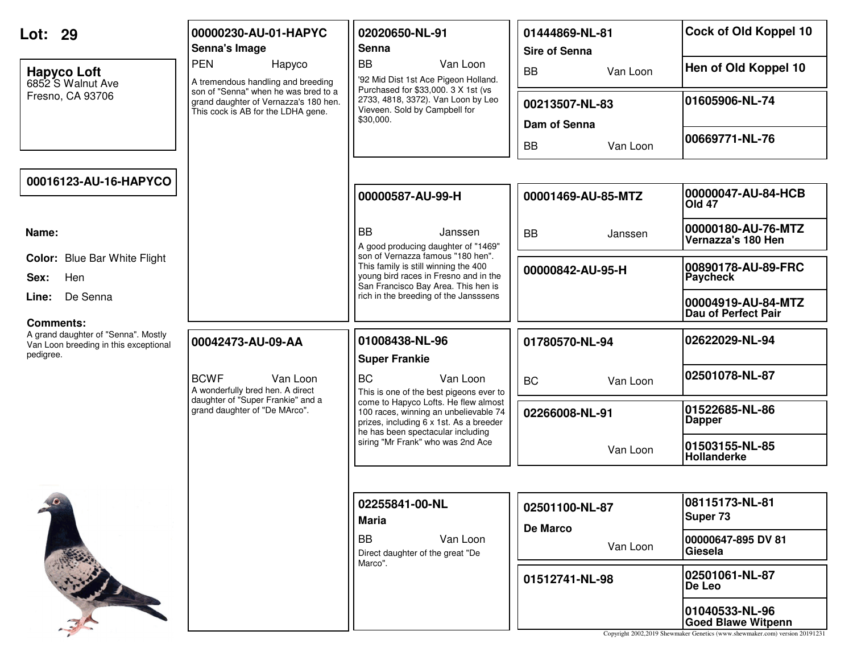| Lot: 29                                            | 00000230-AU-01-HAPYC<br>Senna's Image                                                                               | 02020650-NL-91<br>Senna                                                                                                                                   | 01444869-NL-81<br><b>Sire of Senna</b> | Cock of Old Koppel 10                     |
|----------------------------------------------------|---------------------------------------------------------------------------------------------------------------------|-----------------------------------------------------------------------------------------------------------------------------------------------------------|----------------------------------------|-------------------------------------------|
| <b>Hapyco Loft</b><br>6852 S Walnut Ave            | <b>PEN</b><br>Hapyco<br>A tremendous handling and breeding                                                          | <b>BB</b><br>Van Loon<br>'92 Mid Dist 1st Ace Pigeon Holland.<br>Purchased for \$33,000. 3 X 1st (vs                                                      | <b>BB</b><br>Van Loon                  | Hen of Old Koppel 10                      |
| Fresno, CA 93706                                   | son of "Senna" when he was bred to a<br>grand daughter of Vernazza's 180 hen.<br>This cock is AB for the LDHA gene. | 2733, 4818, 3372). Van Loon by Leo<br>Vieveen. Sold by Campbell for<br>\$30,000.                                                                          | 00213507-NL-83<br>Dam of Senna         | 01605906-NL-74                            |
|                                                    |                                                                                                                     |                                                                                                                                                           | <b>BB</b><br>Van Loon                  | 00669771-NL-76                            |
| 00016123-AU-16-HAPYCO                              |                                                                                                                     |                                                                                                                                                           |                                        |                                           |
|                                                    |                                                                                                                     | 00000587-AU-99-H                                                                                                                                          | 00001469-AU-85-MTZ                     | 00000047-AU-84-HCB<br><b>Old 47</b>       |
| Name:                                              |                                                                                                                     | <b>BB</b><br>Janssen<br>A good producing daughter of "1469"                                                                                               | <b>BB</b><br>Janssen                   | 00000180-AU-76-MTZ<br>Vernazza's 180 Hen  |
| <b>Color:</b> Blue Bar White Flight<br>Hen<br>Sex: |                                                                                                                     | son of Vernazza famous "180 hen".<br>This family is still winning the 400<br>young bird races in Fresno and in the<br>San Francisco Bay Area. This hen is | 00000842-AU-95-H                       | 00890178-AU-89-FRC<br><b>Paycheck</b>     |
| De Senna<br>Line:<br>Comments:                     |                                                                                                                     | rich in the breeding of the Jansssens                                                                                                                     |                                        | 00004919-AU-84-MTZ<br>Dau of Perfect Pair |
| A grand daughter of "Senna". Mostly                |                                                                                                                     |                                                                                                                                                           |                                        |                                           |
| Van Loon breeding in this exceptional<br>pedigree. | 00042473-AU-09-AA                                                                                                   | 01008438-NL-96                                                                                                                                            | 01780570-NL-94                         | 02622029-NL-94                            |
|                                                    | <b>BCWF</b><br>Van Loon<br>A wonderfully bred hen. A direct                                                         | <b>Super Frankie</b><br><b>BC</b><br>Van Loon<br>This is one of the best pigeons ever to                                                                  | <b>BC</b><br>Van Loon                  | 02501078-NL-87                            |
|                                                    | daughter of "Super Frankie" and a<br>grand daughter of "De MArco".                                                  | come to Hapyco Lofts. He flew almost<br>100 races, winning an unbelievable 74<br>prizes, including 6 x 1st. As a breeder                                  | 02266008-NL-91                         | 01522685-NL-86<br><b>Dapper</b>           |
|                                                    |                                                                                                                     | he has been spectacular including<br>siring "Mr Frank" who was 2nd Ace                                                                                    | Van Loon                               | 01503155-NL-85<br>Hollanderke             |
|                                                    |                                                                                                                     |                                                                                                                                                           |                                        |                                           |
| $\bullet$                                          |                                                                                                                     | 02255841-00-NL<br><b>Maria</b>                                                                                                                            | 02501100-NL-87                         | 08115173-NL-81<br>Super 73                |
|                                                    |                                                                                                                     | <b>BB</b><br>Van Loon<br>Direct daughter of the great "De                                                                                                 | <b>De Marco</b><br>Van Loon            | 00000647-895 DV 81<br>Giesela             |
|                                                    |                                                                                                                     | Marco".                                                                                                                                                   | 01512741-NL-98                         | 02501061-NL-87<br>De Leo                  |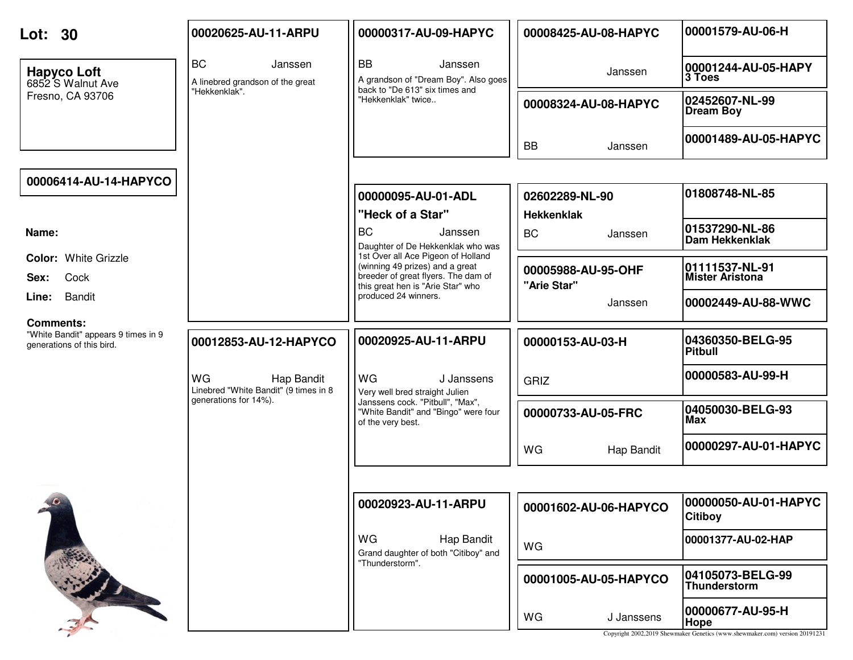| Lot: 30                                                                              | 00020625-AU-11-ARPU                                       | 00000317-AU-09-HAPYC                                                                                                                              | 00008425-AU-08-HAPYC                | 00001579-AU-06-H                         |
|--------------------------------------------------------------------------------------|-----------------------------------------------------------|---------------------------------------------------------------------------------------------------------------------------------------------------|-------------------------------------|------------------------------------------|
| <b>Hapyco Loft</b><br>6852 S Walnut Ave                                              | <b>BC</b><br>Janssen<br>A linebred grandson of the great  | <b>BB</b><br>Janssen<br>A grandson of "Dream Boy". Also goes<br>back to "De 613" six times and                                                    | Janssen                             | 00001244-AU-05-HAPY<br>3 Toes            |
| Fresno, CA 93706                                                                     | "Hekkenklak".                                             | "Hekkenklak" twice                                                                                                                                | 00008324-AU-08-HAPYC                | 02452607-NL-99<br><b>Dream Boy</b>       |
|                                                                                      |                                                           |                                                                                                                                                   | <b>BB</b><br>Janssen                | 00001489-AU-05-HAPYC                     |
| 00006414-AU-14-HAPYCO                                                                |                                                           |                                                                                                                                                   |                                     |                                          |
|                                                                                      |                                                           | 00000095-AU-01-ADL<br>"Heck of a Star"                                                                                                            | 02602289-NL-90<br><b>Hekkenklak</b> | 01808748-NL-85                           |
| Name:                                                                                |                                                           | <b>BC</b><br>Janssen<br>Daughter of De Hekkenklak who was                                                                                         | <b>BC</b><br>Janssen                | 01537290-NL-86<br><b>Dam Hekkenklak</b>  |
| <b>Color: White Grizzle</b><br>Cock<br>Sex:                                          |                                                           | 1st Over all Ace Pigeon of Holland<br>(winning 49 prizes) and a great<br>breeder of great flyers. The dam of<br>this great hen is "Arie Star" who | 00005988-AU-95-OHF<br>"Arie Star"   | 01111537-NL-91<br><b>Mister Aristona</b> |
| Bandit<br>Line:                                                                      |                                                           | produced 24 winners.                                                                                                                              | Janssen                             | 00002449-AU-88-WWC                       |
| <b>Comments:</b><br>"White Bandit" appears 9 times in 9<br>generations of this bird. | 00012853-AU-12-HAPYCO                                     | 00020925-AU-11-ARPU                                                                                                                               | 00000153-AU-03-H                    | 04360350-BELG-95<br><b>Pitbull</b>       |
|                                                                                      | WG<br>Hap Bandit<br>Linebred "White Bandit" (9 times in 8 | WG<br>J Janssens<br>Very well bred straight Julien                                                                                                | <b>GRIZ</b>                         | 00000583-AU-99-H                         |
|                                                                                      | generations for 14%).                                     | Janssens cock. "Pitbull", "Max",<br>"White Bandit" and "Bingo" were four<br>of the very best.                                                     | 00000733-AU-05-FRC                  | 04050030-BELG-93<br>Max                  |
|                                                                                      |                                                           |                                                                                                                                                   | WG<br>Hap Bandit                    | 00000297-AU-01-HAPYC                     |
|                                                                                      |                                                           |                                                                                                                                                   |                                     |                                          |
| $\theta$                                                                             |                                                           | 00020923-AU-11-ARPU                                                                                                                               | 00001602-AU-06-HAPYCO               | 00000050-AU-01-HAPYC<br><b>Citiboy</b>   |
|                                                                                      |                                                           | WG<br>Hap Bandit<br>Grand daughter of both "Citiboy" and                                                                                          | WG                                  | 00001377-AU-02-HAP                       |
|                                                                                      |                                                           | "Thunderstorm".                                                                                                                                   | 00001005-AU-05-HAPYCO               | 04105073-BELG-99<br>Thunderstorm         |
|                                                                                      |                                                           |                                                                                                                                                   | WG<br>J Janssens                    | 00000677-AU-95-H<br>Hope                 |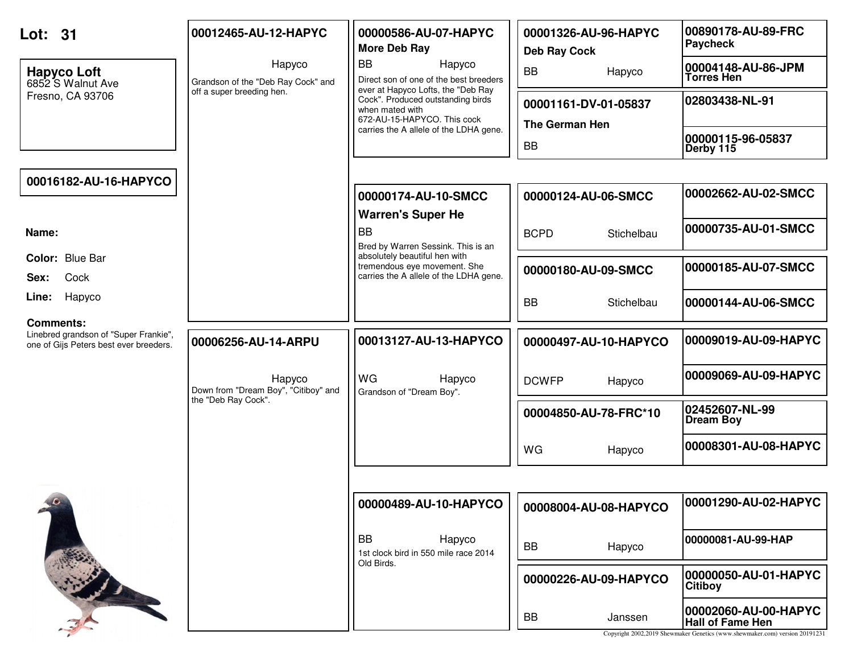| Lot: 31                                                                                             | 00012465-AU-12-HAPYC                           | 00000586-AU-07-HAPYC<br>More Deb Ray                                                                                      | 00001326-AU-96-HAPYC<br><b>Deb Ray Cock</b>   | 00890178-AU-89-FRC<br>Paycheck                                                                                                  |
|-----------------------------------------------------------------------------------------------------|------------------------------------------------|---------------------------------------------------------------------------------------------------------------------------|-----------------------------------------------|---------------------------------------------------------------------------------------------------------------------------------|
| <b>Hapyco Loft</b><br>6852 S Walnut Ave                                                             | Hapyco<br>Grandson of the "Deb Ray Cock" and   | <b>BB</b><br>Hapyco<br>Direct son of one of the best breeders                                                             | <b>BB</b><br>Hapyco                           | 00004148-AU-86-JPM<br><b>Torres Hen</b>                                                                                         |
| Fresno, CA 93706                                                                                    | off a super breeding hen.                      | ever at Hapyco Lofts, the "Deb Ray<br>Cock". Produced outstanding birds<br>when mated with<br>672-AU-15-HAPYCO. This cock | 00001161-DV-01-05837<br><b>The German Hen</b> | 02803438-NL-91                                                                                                                  |
|                                                                                                     |                                                | carries the A allele of the LDHA gene.                                                                                    | <b>BB</b>                                     | 00000115-96-05837<br>Derby 115                                                                                                  |
| 00016182-AU-16-HAPYCO                                                                               |                                                |                                                                                                                           |                                               |                                                                                                                                 |
|                                                                                                     |                                                | 00000174-AU-10-SMCC<br><b>Warren's Super He</b>                                                                           | 00000124-AU-06-SMCC                           | 00002662-AU-02-SMCC                                                                                                             |
| Name:                                                                                               |                                                | <b>BB</b><br>Bred by Warren Sessink. This is an                                                                           | <b>BCPD</b><br>Stichelbau                     | 00000735-AU-01-SMCC                                                                                                             |
| Color: Blue Bar<br>Cock<br>Sex:                                                                     |                                                | absolutely beautiful hen with<br>tremendous eye movement. She<br>carries the A allele of the LDHA gene.                   | 00000180-AU-09-SMCC                           | 00000185-AU-07-SMCC                                                                                                             |
| Hapyco<br>Line:                                                                                     |                                                |                                                                                                                           | <b>BB</b><br>Stichelbau                       | 00000144-AU-06-SMCC                                                                                                             |
| <b>Comments:</b><br>Linebred grandson of "Super Frankie",<br>one of Gijs Peters best ever breeders. | 00006256-AU-14-ARPU                            | 00013127-AU-13-HAPYCO                                                                                                     | 00000497-AU-10-HAPYCO                         | 00009019-AU-09-HAPYC                                                                                                            |
|                                                                                                     | Hapyco<br>Down from "Dream Boy", "Citiboy" and | WG<br>Hapyco<br>Grandson of "Dream Boy".                                                                                  | <b>DCWFP</b><br>Hapyco                        | 00009069-AU-09-HAPYC                                                                                                            |
|                                                                                                     | the "Deb Ray Cock".                            |                                                                                                                           | 00004850-AU-78-FRC*10                         | 02452607-NL-99<br><b>Dream Boy</b>                                                                                              |
|                                                                                                     |                                                |                                                                                                                           | WG<br>Hapyco                                  | 00008301-AU-08-HAPYC                                                                                                            |
|                                                                                                     |                                                |                                                                                                                           |                                               |                                                                                                                                 |
| $10 -$                                                                                              |                                                | 00000489-AU-10-HAPYCO                                                                                                     | 00008004-AU-08-HAPYCO                         | 00001290-AU-02-HAPYC                                                                                                            |
|                                                                                                     |                                                | BB<br>Hapyco<br>1st clock bird in 550 mile race 2014<br>Old Birds.                                                        | Hapyco<br><b>BB</b>                           | 00000081-AU-99-HAP                                                                                                              |
|                                                                                                     |                                                |                                                                                                                           | 00000226-AU-09-HAPYCO                         | 00000050-AU-01-HAPYC<br><b>Citiboy</b>                                                                                          |
|                                                                                                     |                                                |                                                                                                                           | BB<br>Janssen                                 | 00002060-AU-00-HAPYC <br><b>Hall of Fame Hen</b><br>Copyright 2002,2019 Shewmaker Genetics (www.shewmaker.com) version 20191231 |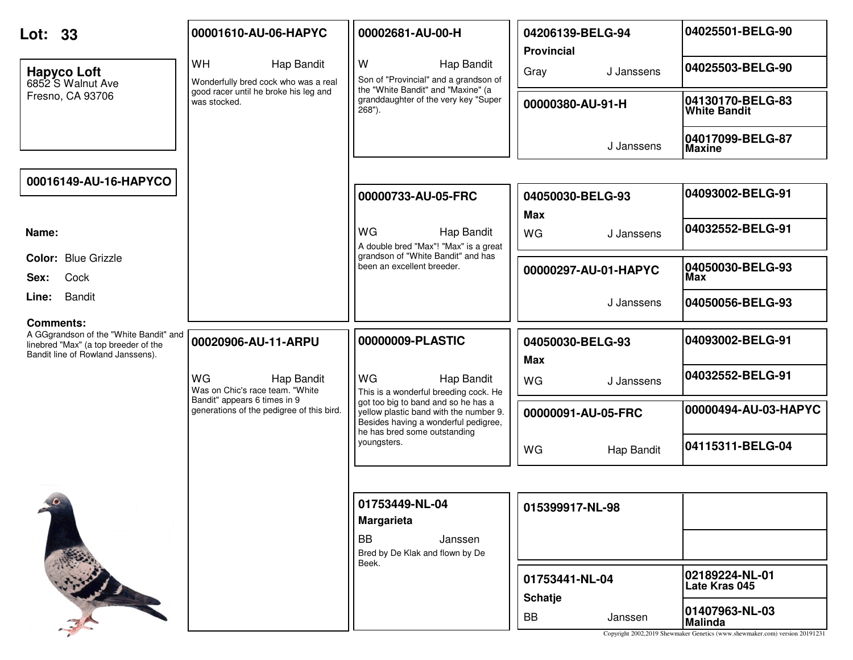| Lot: 33                                                                                                                                 | 00001610-AU-06-HAPYC                                                      | 00002681-AU-00-H                                                                                                                                      | 04206139-BELG-94<br><b>Provincial</b> | 04025501-BELG-90                        |
|-----------------------------------------------------------------------------------------------------------------------------------------|---------------------------------------------------------------------------|-------------------------------------------------------------------------------------------------------------------------------------------------------|---------------------------------------|-----------------------------------------|
| <b>Hapyco Loft</b><br>6852 S Walnut Ave                                                                                                 | WH<br><b>Hap Bandit</b><br>Wonderfully bred cock who was a real           | W<br>Hap Bandit<br>Son of "Provincial" and a grandson of                                                                                              | Gray<br>J Janssens                    | 04025503-BELG-90                        |
| Fresno, CA 93706                                                                                                                        | good racer until he broke his leg and<br>was stocked.                     | the "White Bandit" and "Maxine" (a<br>granddaughter of the very key "Super<br>$268"$ ).                                                               | 00000380-AU-91-H                      | 04130170-BELG-83<br><b>White Bandit</b> |
|                                                                                                                                         |                                                                           |                                                                                                                                                       | J Janssens                            | 04017099-BELG-87<br><b>Maxine</b>       |
| 00016149-AU-16-HAPYCO                                                                                                                   |                                                                           |                                                                                                                                                       |                                       |                                         |
|                                                                                                                                         |                                                                           | 00000733-AU-05-FRC                                                                                                                                    | 04050030-BELG-93<br><b>Max</b>        | 04093002-BELG-91                        |
| Name:                                                                                                                                   |                                                                           | <b>WG</b><br>Hap Bandit<br>A double bred "Max"! "Max" is a great                                                                                      | <b>WG</b><br>J Janssens               | 04032552-BELG-91                        |
| <b>Color: Blue Grizzle</b><br>Cock<br>Sex:                                                                                              |                                                                           | grandson of "White Bandit" and has<br>been an excellent breeder.                                                                                      | 00000297-AU-01-HAPYC                  | 04050030-BELG-93<br>Max                 |
| <b>Bandit</b><br>Line:                                                                                                                  |                                                                           |                                                                                                                                                       | J Janssens                            | 04050056-BELG-93                        |
| <b>Comments:</b><br>A GGgrandson of the "White Bandit" and<br>linebred "Max" (a top breeder of the<br>Bandit line of Rowland Janssens). | 00020906-AU-11-ARPU                                                       | 00000009-PLASTIC                                                                                                                                      | 04050030-BELG-93<br><b>Max</b>        | 04093002-BELG-91                        |
|                                                                                                                                         | WG<br>Hap Bandit<br>Was on Chic's race team. "White                       | WG<br>Hap Bandit<br>This is a wonderful breeding cock. He                                                                                             | <b>WG</b><br>J Janssens               | 04032552-BELG-91                        |
|                                                                                                                                         | Bandit" appears 6 times in 9<br>generations of the pedigree of this bird. | got too big to band and so he has a<br>yellow plastic band with the number 9.<br>Besides having a wonderful pedigree,<br>he has bred some outstanding | 00000091-AU-05-FRC                    | 00000494-AU-03-HAPYC                    |
|                                                                                                                                         |                                                                           | youngsters.                                                                                                                                           | WG<br>Hap Bandit                      | 04115311-BELG-04                        |
|                                                                                                                                         |                                                                           |                                                                                                                                                       |                                       |                                         |
|                                                                                                                                         |                                                                           | 01753449-NL-04<br><b>Margarieta</b>                                                                                                                   | 015399917-NL-98                       |                                         |
|                                                                                                                                         |                                                                           | BB<br>Janssen<br>Bred by De Klak and flown by De<br>Beek.                                                                                             |                                       |                                         |
|                                                                                                                                         |                                                                           |                                                                                                                                                       | 01753441-NL-04<br><b>Schatje</b>      | 02189224-NL-01<br>Late Kras 045         |
|                                                                                                                                         |                                                                           |                                                                                                                                                       |                                       | 01407963-NL-03                          |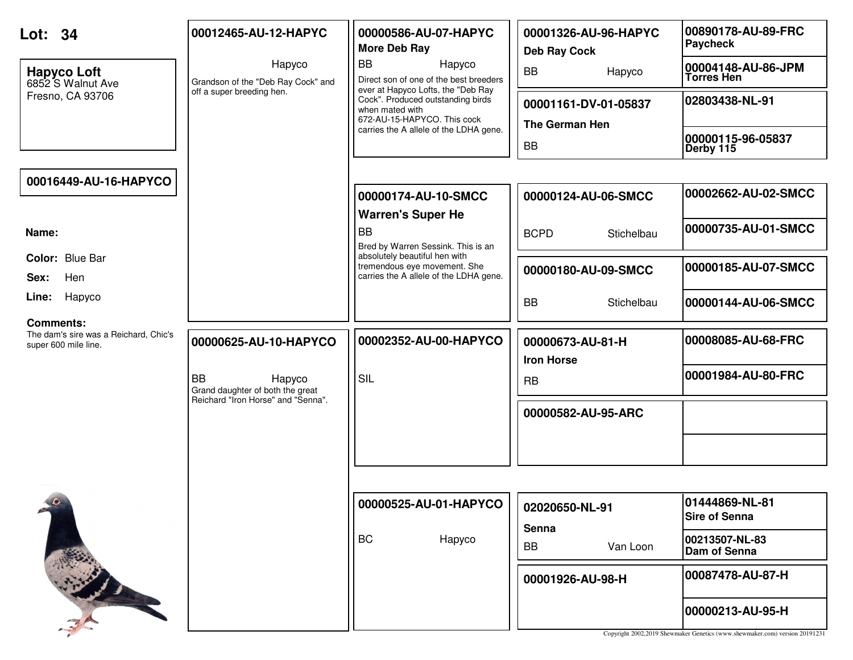| Lot: 34<br><b>Hapyco Loft</b><br>6852 S Walnut Ave<br>Fresno, CA 93706            | 00012465-AU-12-HAPYC<br>Hapyco<br>Grandson of the "Deb Ray Cock" and<br>off a super breeding hen. | 00000586-AU-07-HAPYC<br><b>More Deb Ray</b><br><b>BB</b><br>Hapyco<br>Direct son of one of the best breeders<br>ever at Hapyco Lofts, the "Deb Ray<br>Cock". Produced outstanding birds<br>when mated with<br>672-AU-15-HAPYCO. This cock<br>carries the A allele of the LDHA gene. | 00001326-AU-96-HAPYC<br><b>Deb Ray Cock</b><br>BB<br>Hapyco<br>00001161-DV-01-05837<br><b>The German Hen</b><br>BB | 00890178-AU-89-FRC<br><b>Paycheck</b><br>00004148-AU-86-JPM<br><b>Torres Hen</b><br>02803438-NL-91<br>00000115-96-05837<br>Derby 115 |
|-----------------------------------------------------------------------------------|---------------------------------------------------------------------------------------------------|-------------------------------------------------------------------------------------------------------------------------------------------------------------------------------------------------------------------------------------------------------------------------------------|--------------------------------------------------------------------------------------------------------------------|--------------------------------------------------------------------------------------------------------------------------------------|
| 00016449-AU-16-HAPYCO                                                             |                                                                                                   | 00000174-AU-10-SMCC<br><b>Warren's Super He</b>                                                                                                                                                                                                                                     | 00000124-AU-06-SMCC                                                                                                | 00002662-AU-02-SMCC                                                                                                                  |
| Name:<br>Color: Blue Bar                                                          |                                                                                                   | <b>BB</b><br>Bred by Warren Sessink. This is an<br>absolutely beautiful hen with                                                                                                                                                                                                    | <b>BCPD</b><br>Stichelbau                                                                                          | 00000735-AU-01-SMCC                                                                                                                  |
| Hen<br>Sex:                                                                       |                                                                                                   | tremendous eye movement. She<br>carries the A allele of the LDHA gene.                                                                                                                                                                                                              | 00000180-AU-09-SMCC                                                                                                | 00000185-AU-07-SMCC                                                                                                                  |
| Line:<br>Hapyco                                                                   |                                                                                                   |                                                                                                                                                                                                                                                                                     | <b>BB</b><br>Stichelbau                                                                                            | 00000144-AU-06-SMCC                                                                                                                  |
| <b>Comments:</b><br>The dam's sire was a Reichard, Chic's<br>super 600 mile line. | 00000625-AU-10-HAPYCO<br><b>BB</b><br>Hapyco                                                      | 00002352-AU-00-HAPYCO<br><b>SIL</b>                                                                                                                                                                                                                                                 | 00000673-AU-81-H<br><b>Iron Horse</b><br>RB                                                                        | 00008085-AU-68-FRC<br>00001984-AU-80-FRC                                                                                             |
|                                                                                   | Grand daughter of both the great<br>Reichard "Iron Horse" and "Senna".                            |                                                                                                                                                                                                                                                                                     | 00000582-AU-95-ARC                                                                                                 |                                                                                                                                      |
| $10 -$                                                                            |                                                                                                   | 00000525-AU-01-HAPYCO<br><b>BC</b><br>Hapyco                                                                                                                                                                                                                                        | 02020650-NL-91<br>Senna                                                                                            | 01444869-NL-81<br><b>Sire of Senna</b><br>00213507-NL-83                                                                             |
|                                                                                   |                                                                                                   |                                                                                                                                                                                                                                                                                     | Van Loon<br>BB<br>00001926-AU-98-H                                                                                 | Dam of Senna<br>00087478-AU-87-H<br>00000213-AU-95-H                                                                                 |
|                                                                                   |                                                                                                   |                                                                                                                                                                                                                                                                                     |                                                                                                                    | Copyright 2002,2019 Shewmaker Genetics (www.shewmaker.com) version 20191231                                                          |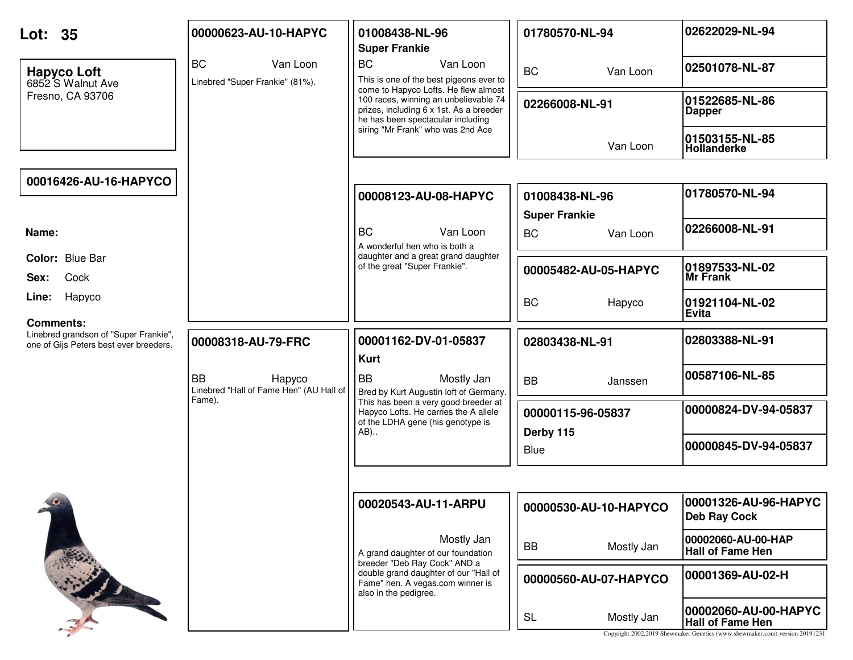| Lot: 35                                                                                             | 00000623-AU-10-HAPYC                                                     | 01008438-NL-96<br><b>Super Frankie</b>                                                                                                                                                                                                                                 | 01780570-NL-94                                | 02622029-NL-94                                  |
|-----------------------------------------------------------------------------------------------------|--------------------------------------------------------------------------|------------------------------------------------------------------------------------------------------------------------------------------------------------------------------------------------------------------------------------------------------------------------|-----------------------------------------------|-------------------------------------------------|
| <b>Hapyco Loft</b><br>6852 S Walnut Ave<br>Fresno, CA 93706                                         | <b>BC</b><br>Van Loon<br>Linebred "Super Frankie" (81%).                 | <b>BC</b><br>Van Loon<br>This is one of the best pigeons ever to<br>come to Hapyco Lofts. He flew almost<br>100 races, winning an unbelievable 74<br>prizes, including 6 x 1st. As a breeder<br>he has been spectacular including<br>siring "Mr Frank" who was 2nd Ace | <b>BC</b><br>Van Loon                         | 02501078-NL-87                                  |
|                                                                                                     |                                                                          |                                                                                                                                                                                                                                                                        | 02266008-NL-91                                | 01522685-NL-86<br><b>Dapper</b>                 |
|                                                                                                     |                                                                          |                                                                                                                                                                                                                                                                        | Van Loon                                      | 01503155-NL-85<br>Hollanderke                   |
| 00016426-AU-16-HAPYCO                                                                               |                                                                          |                                                                                                                                                                                                                                                                        |                                               | 01780570-NL-94                                  |
|                                                                                                     |                                                                          | 00008123-AU-08-HAPYC                                                                                                                                                                                                                                                   | 01008438-NL-96                                |                                                 |
| Name:                                                                                               |                                                                          | <b>BC</b><br>Van Loon<br>A wonderful hen who is both a                                                                                                                                                                                                                 | <b>Super Frankie</b><br><b>BC</b><br>Van Loon | 02266008-NL-91                                  |
| Color: Blue Bar                                                                                     |                                                                          | daughter and a great grand daughter<br>of the great "Super Frankie".                                                                                                                                                                                                   | 00005482-AU-05-HAPYC                          | 01897533-NL-02                                  |
| Cock<br>Sex:                                                                                        |                                                                          |                                                                                                                                                                                                                                                                        |                                               | Mr Frank                                        |
| Hapyco<br>Line:                                                                                     |                                                                          |                                                                                                                                                                                                                                                                        | <b>BC</b><br>Hapyco                           | 01921104-NL-02<br>Evita                         |
| <b>Comments:</b><br>Linebred grandson of "Super Frankie",<br>one of Gijs Peters best ever breeders. | 00008318-AU-79-FRC                                                       | 00001162-DV-01-05837<br><b>Kurt</b>                                                                                                                                                                                                                                    | 02803438-NL-91                                | 02803388-NL-91                                  |
|                                                                                                     | <b>BB</b><br>Hapyco<br>Linebred "Hall of Fame Hen" (AU Hall of<br>Fame). | <b>BB</b><br>Mostly Jan<br>Bred by Kurt Augustin loft of Germany.<br>This has been a very good breeder at<br>Hapyco Lofts. He carries the A allele<br>of the LDHA gene (his genotype is<br>AB)                                                                         | <b>BB</b><br>Janssen                          | 00587106-NL-85                                  |
|                                                                                                     |                                                                          |                                                                                                                                                                                                                                                                        | 00000115-96-05837<br>Derby 115                | 00000824-DV-94-05837                            |
|                                                                                                     |                                                                          |                                                                                                                                                                                                                                                                        | <b>Blue</b>                                   | 00000845-DV-94-05837                            |
|                                                                                                     |                                                                          |                                                                                                                                                                                                                                                                        |                                               |                                                 |
| $\bullet$                                                                                           |                                                                          | 00020543-AU-11-ARPU                                                                                                                                                                                                                                                    | 00000530-AU-10-HAPYCO                         | 00001326-AU-96-HAPYC<br><b>Deb Ray Cock</b>     |
|                                                                                                     |                                                                          | Mostly Jan<br>A grand daughter of our foundation<br>breeder "Deb Ray Cock" AND a<br>double grand daughter of our "Hall of<br>Fame" hen. A vegas.com winner is<br>also in the pedigree.                                                                                 | <b>BB</b><br>Mostly Jan                       | 00002060-AU-00-HAP<br><b>Hall of Fame Hen</b>   |
|                                                                                                     |                                                                          |                                                                                                                                                                                                                                                                        | 00000560-AU-07-HAPYCO                         | 00001369-AU-02-H                                |
|                                                                                                     |                                                                          |                                                                                                                                                                                                                                                                        | <b>SL</b><br>Mostly Jan                       | 00002060-AU-00-HAPYC<br><b>Hall of Fame Hen</b> |